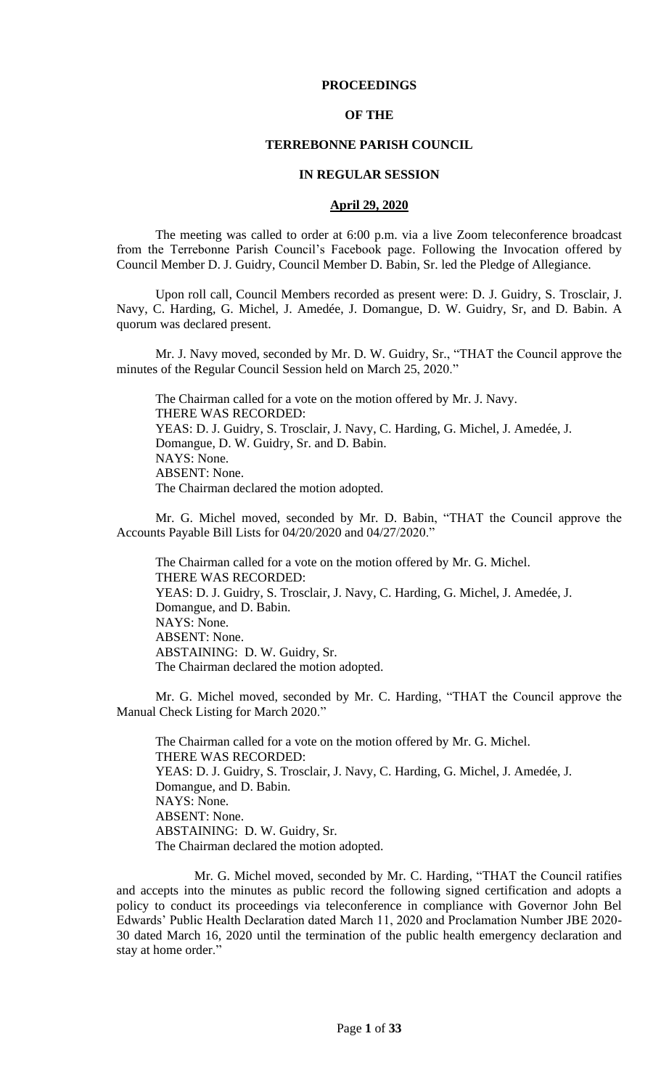## **PROCEEDINGS**

#### **OF THE**

#### **TERREBONNE PARISH COUNCIL**

#### **IN REGULAR SESSION**

#### **April 29, 2020**

The meeting was called to order at 6:00 p.m. via a live Zoom teleconference broadcast from the Terrebonne Parish Council's Facebook page. Following the Invocation offered by Council Member D. J. Guidry, Council Member D. Babin, Sr. led the Pledge of Allegiance.

Upon roll call, Council Members recorded as present were: D. J. Guidry, S. Trosclair, J. Navy, C. Harding, G. Michel, J. Amedée, J. Domangue, D. W. Guidry, Sr, and D. Babin. A quorum was declared present.

Mr. J. Navy moved, seconded by Mr. D. W. Guidry, Sr., "THAT the Council approve the minutes of the Regular Council Session held on March 25, 2020."

The Chairman called for a vote on the motion offered by Mr. J. Navy. THERE WAS RECORDED: YEAS: D. J. Guidry, S. Trosclair, J. Navy, C. Harding, G. Michel, J. Amedée, J. Domangue, D. W. Guidry, Sr. and D. Babin. NAYS: None. ABSENT: None. The Chairman declared the motion adopted.

Mr. G. Michel moved, seconded by Mr. D. Babin, "THAT the Council approve the Accounts Payable Bill Lists for 04/20/2020 and 04/27/2020."

The Chairman called for a vote on the motion offered by Mr. G. Michel. THERE WAS RECORDED: YEAS: D. J. Guidry, S. Trosclair, J. Navy, C. Harding, G. Michel, J. Amedée, J. Domangue, and D. Babin. NAYS: None. ABSENT: None. ABSTAINING: D. W. Guidry, Sr. The Chairman declared the motion adopted.

Mr. G. Michel moved, seconded by Mr. C. Harding, "THAT the Council approve the Manual Check Listing for March 2020."

The Chairman called for a vote on the motion offered by Mr. G. Michel. THERE WAS RECORDED: YEAS: D. J. Guidry, S. Trosclair, J. Navy, C. Harding, G. Michel, J. Amedée, J. Domangue, and D. Babin. NAYS: None. ABSENT: None. ABSTAINING: D. W. Guidry, Sr. The Chairman declared the motion adopted.

Mr. G. Michel moved, seconded by Mr. C. Harding, "THAT the Council ratifies and accepts into the minutes as public record the following signed certification and adopts a policy to conduct its proceedings via teleconference in compliance with Governor John Bel Edwards' Public Health Declaration dated March 11, 2020 and Proclamation Number JBE 2020- 30 dated March 16, 2020 until the termination of the public health emergency declaration and stay at home order."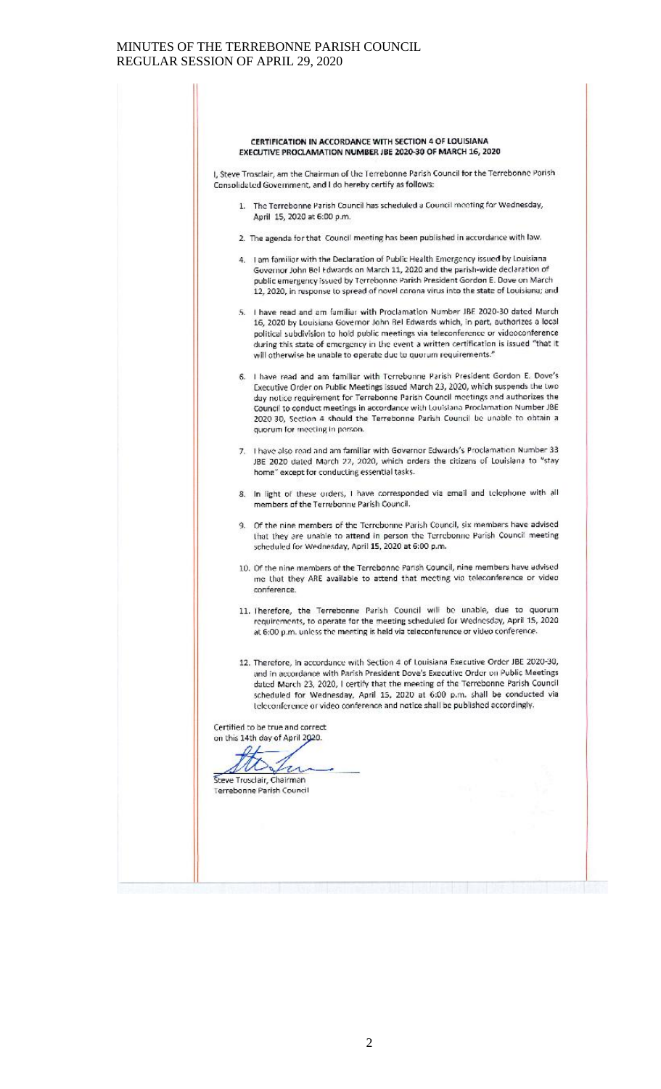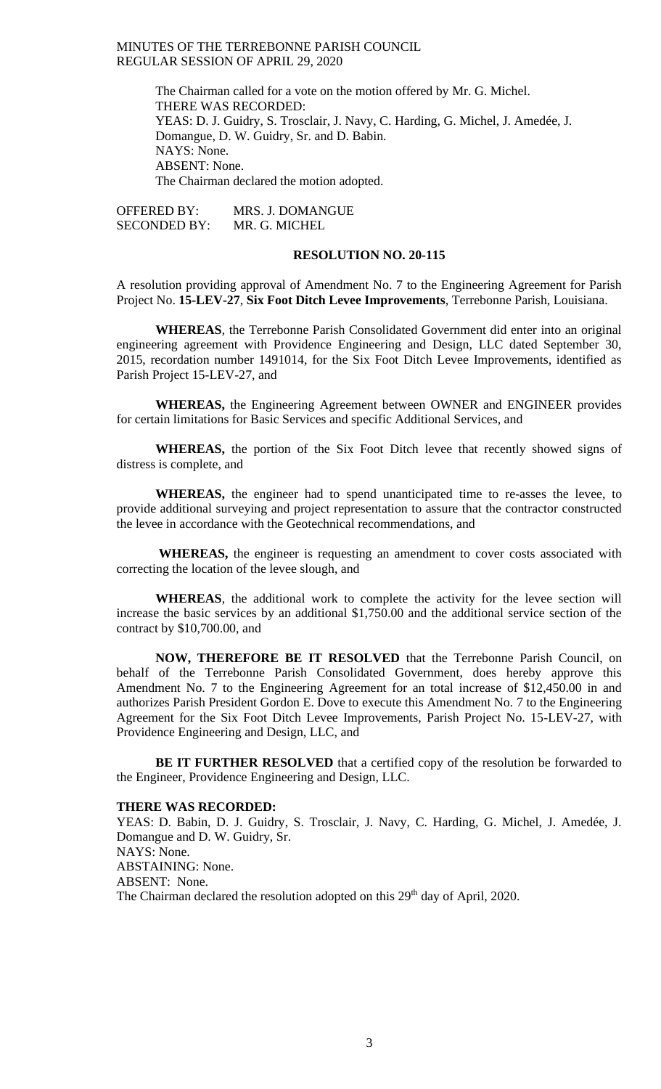> The Chairman called for a vote on the motion offered by Mr. G. Michel. THERE WAS RECORDED: YEAS: D. J. Guidry, S. Trosclair, J. Navy, C. Harding, G. Michel, J. Amedée, J. Domangue, D. W. Guidry, Sr. and D. Babin. NAYS: None. ABSENT: None. The Chairman declared the motion adopted.

OFFERED BY: MRS. J. DOMANGUE SECONDED BY: MR. G. MICHEL

## **RESOLUTION NO. 20-115**

A resolution providing approval of Amendment No. 7 to the Engineering Agreement for Parish Project No. **15-LEV-27**, **Six Foot Ditch Levee Improvements**, Terrebonne Parish, Louisiana.

**WHEREAS**, the Terrebonne Parish Consolidated Government did enter into an original engineering agreement with Providence Engineering and Design, LLC dated September 30, 2015, recordation number 1491014, for the Six Foot Ditch Levee Improvements, identified as Parish Project 15-LEV-27, and

**WHEREAS,** the Engineering Agreement between OWNER and ENGINEER provides for certain limitations for Basic Services and specific Additional Services, and

**WHEREAS,** the portion of the Six Foot Ditch levee that recently showed signs of distress is complete, and

**WHEREAS,** the engineer had to spend unanticipated time to re-asses the levee, to provide additional surveying and project representation to assure that the contractor constructed the levee in accordance with the Geotechnical recommendations, and

**WHEREAS,** the engineer is requesting an amendment to cover costs associated with correcting the location of the levee slough, and

**WHEREAS**, the additional work to complete the activity for the levee section will increase the basic services by an additional \$1,750.00 and the additional service section of the contract by \$10,700.00, and

**NOW, THEREFORE BE IT RESOLVED** that the Terrebonne Parish Council, on behalf of the Terrebonne Parish Consolidated Government, does hereby approve this Amendment No. 7 to the Engineering Agreement for an total increase of \$12,450.00 in and authorizes Parish President Gordon E. Dove to execute this Amendment No. 7 to the Engineering Agreement for the Six Foot Ditch Levee Improvements, Parish Project No. 15-LEV-27, with Providence Engineering and Design, LLC, and

**BE IT FURTHER RESOLVED** that a certified copy of the resolution be forwarded to the Engineer, Providence Engineering and Design, LLC.

### **THERE WAS RECORDED:**

YEAS: D. Babin, D. J. Guidry, S. Trosclair, J. Navy, C. Harding, G. Michel, J. Amedée, J. Domangue and D. W. Guidry, Sr. NAYS: None. ABSTAINING: None. ABSENT: None. The Chairman declared the resolution adopted on this 29<sup>th</sup> day of April, 2020.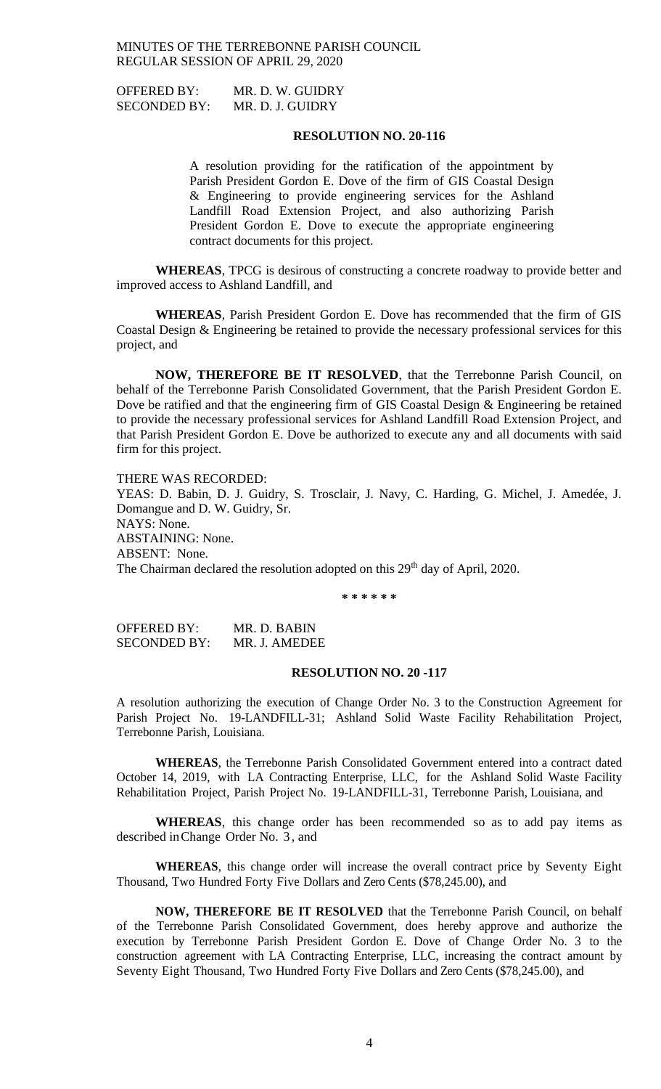OFFERED BY: MR. D. W. GUIDRY SECONDED BY: MR. D. J. GUIDRY

## **RESOLUTION NO. 20-116**

A resolution providing for the ratification of the appointment by Parish President Gordon E. Dove of the firm of GIS Coastal Design & Engineering to provide engineering services for the Ashland Landfill Road Extension Project, and also authorizing Parish President Gordon E. Dove to execute the appropriate engineering contract documents for this project.

**WHEREAS**, TPCG is desirous of constructing a concrete roadway to provide better and improved access to Ashland Landfill, and

**WHEREAS**, Parish President Gordon E. Dove has recommended that the firm of GIS Coastal Design & Engineering be retained to provide the necessary professional services for this project, and

**NOW, THEREFORE BE IT RESOLVED**, that the Terrebonne Parish Council, on behalf of the Terrebonne Parish Consolidated Government, that the Parish President Gordon E. Dove be ratified and that the engineering firm of GIS Coastal Design & Engineering be retained to provide the necessary professional services for Ashland Landfill Road Extension Project, and that Parish President Gordon E. Dove be authorized to execute any and all documents with said firm for this project.

THERE WAS RECORDED: YEAS: D. Babin, D. J. Guidry, S. Trosclair, J. Navy, C. Harding, G. Michel, J. Amedée, J. Domangue and D. W. Guidry, Sr. NAYS: None. ABSTAINING: None. ABSENT: None. The Chairman declared the resolution adopted on this 29<sup>th</sup> day of April, 2020.

**\* \* \* \* \* \***

OFFERED BY: MR. D. BABIN SECONDED BY: MR. J. AMEDEE

#### **RESOLUTION NO. 20 -117**

A resolution authorizing the execution of Change Order No. 3 to the Construction Agreement for Parish Project No. 19-LANDFILL-31; Ashland Solid Waste Facility Rehabilitation Project, Terrebonne Parish, Louisiana.

**WHEREAS**, the Terrebonne Parish Consolidated Government entered into a contract dated October 14, 2019, with LA Contracting Enterprise, LLC, for the Ashland Solid Waste Facility Rehabilitation Project, Parish Project No. 19-LANDFILL-31, Terrebonne Parish, Louisiana, and

**WHEREAS**, this change order has been recommended so as to add pay items as described inChange Order No. 3 , and

**WHEREAS**, this change order will increase the overall contract price by Seventy Eight Thousand, Two Hundred Forty Five Dollars and Zero Cents (\$78,245.00), and

**NOW, THEREFORE BE IT RESOLVED** that the Terrebonne Parish Council, on behalf of the Terrebonne Parish Consolidated Government, does hereby approve and authorize the execution by Terrebonne Parish President Gordon E. Dove of Change Order No. 3 to the construction agreement with LA Contracting Enterprise, LLC, increasing the contract amount by Seventy Eight Thousand, Two Hundred Forty Five Dollars and Zero Cents (\$78,245.00), and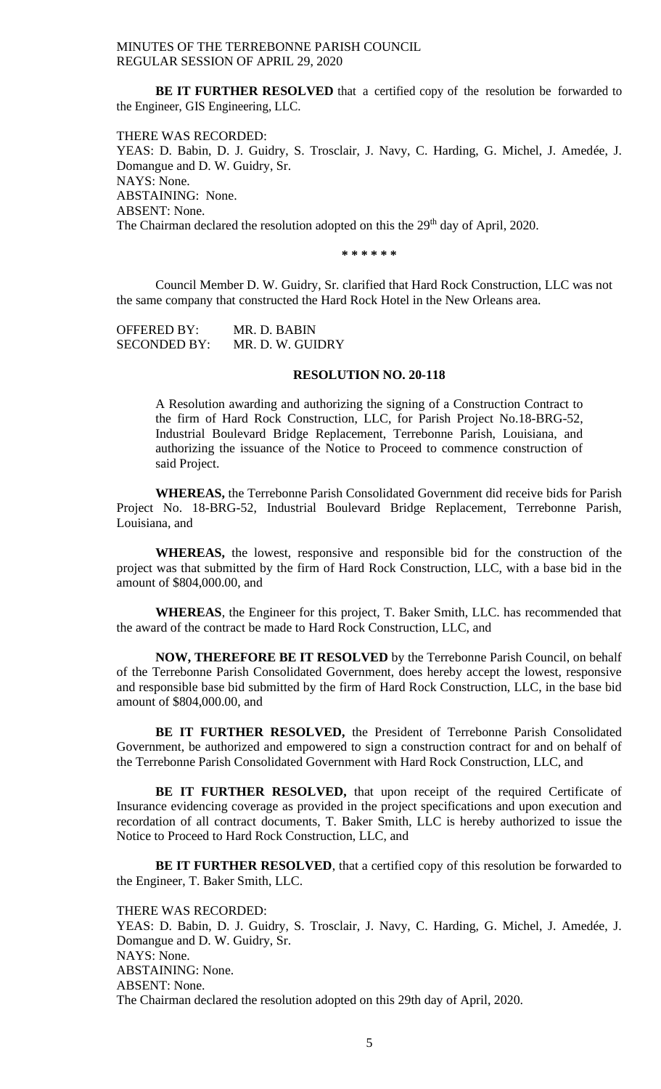**BE IT FURTHER RESOLVED** that a certified copy of the resolution be forwarded to the Engineer, GIS Engineering, LLC.

THERE WAS RECORDED: YEAS: D. Babin, D. J. Guidry, S. Trosclair, J. Navy, C. Harding, G. Michel, J. Amedée, J. Domangue and D. W. Guidry, Sr. NAYS: None. ABSTAINING: None. ABSENT: None. The Chairman declared the resolution adopted on this the 29<sup>th</sup> day of April, 2020.

**\* \* \* \* \* \***

Council Member D. W. Guidry, Sr. clarified that Hard Rock Construction, LLC was not the same company that constructed the Hard Rock Hotel in the New Orleans area.

| <b>OFFERED BY:</b>  | MR. D. BABIN     |
|---------------------|------------------|
| <b>SECONDED BY:</b> | MR. D. W. GUIDRY |

#### **RESOLUTION NO. 20-118**

A Resolution awarding and authorizing the signing of a Construction Contract to the firm of Hard Rock Construction, LLC, for Parish Project No.18-BRG-52, Industrial Boulevard Bridge Replacement, Terrebonne Parish, Louisiana, and authorizing the issuance of the Notice to Proceed to commence construction of said Project.

**WHEREAS,** the Terrebonne Parish Consolidated Government did receive bids for Parish Project No. 18-BRG-52, Industrial Boulevard Bridge Replacement, Terrebonne Parish, Louisiana, and

**WHEREAS,** the lowest, responsive and responsible bid for the construction of the project was that submitted by the firm of Hard Rock Construction, LLC, with a base bid in the amount of \$804,000.00, and

**WHEREAS**, the Engineer for this project, T. Baker Smith, LLC. has recommended that the award of the contract be made to Hard Rock Construction, LLC, and

**NOW, THEREFORE BE IT RESOLVED** by the Terrebonne Parish Council, on behalf of the Terrebonne Parish Consolidated Government, does hereby accept the lowest, responsive and responsible base bid submitted by the firm of Hard Rock Construction, LLC, in the base bid amount of \$804,000.00, and

**BE IT FURTHER RESOLVED,** the President of Terrebonne Parish Consolidated Government, be authorized and empowered to sign a construction contract for and on behalf of the Terrebonne Parish Consolidated Government with Hard Rock Construction, LLC, and

BE IT FURTHER RESOLVED, that upon receipt of the required Certificate of Insurance evidencing coverage as provided in the project specifications and upon execution and recordation of all contract documents, T. Baker Smith, LLC is hereby authorized to issue the Notice to Proceed to Hard Rock Construction, LLC, and

**BE IT FURTHER RESOLVED**, that a certified copy of this resolution be forwarded to the Engineer, T. Baker Smith, LLC.

THERE WAS RECORDED: YEAS: D. Babin, D. J. Guidry, S. Trosclair, J. Navy, C. Harding, G. Michel, J. Amedée, J. Domangue and D. W. Guidry, Sr. NAYS: None. ABSTAINING: None. ABSENT: None. The Chairman declared the resolution adopted on this 29th day of April, 2020.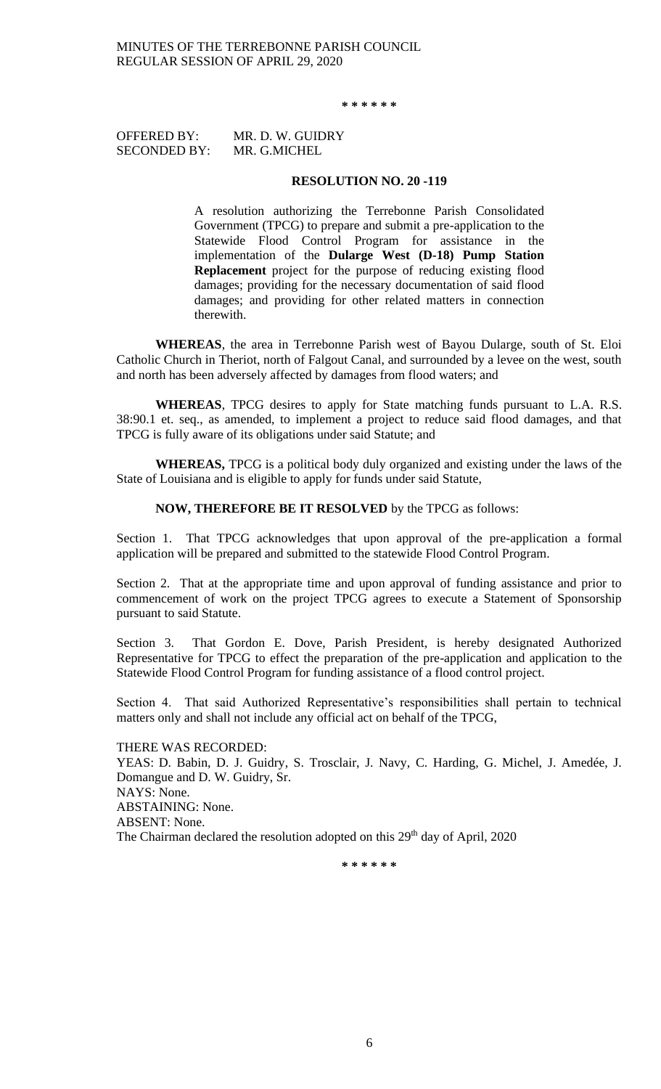**\* \* \* \* \* \***

OFFERED BY: MR. D. W. GUIDRY SECONDED BY: MR. G.MICHEL

## **RESOLUTION NO. 20 -119**

A resolution authorizing the Terrebonne Parish Consolidated Government (TPCG) to prepare and submit a pre-application to the Statewide Flood Control Program for assistance in the implementation of the **Dularge West (D-18) Pump Station Replacement** project for the purpose of reducing existing flood damages; providing for the necessary documentation of said flood damages; and providing for other related matters in connection therewith.

**WHEREAS**, the area in Terrebonne Parish west of Bayou Dularge, south of St. Eloi Catholic Church in Theriot, north of Falgout Canal, and surrounded by a levee on the west, south and north has been adversely affected by damages from flood waters; and

**WHEREAS**, TPCG desires to apply for State matching funds pursuant to L.A. R.S. 38:90.1 et. seq., as amended, to implement a project to reduce said flood damages, and that TPCG is fully aware of its obligations under said Statute; and

**WHEREAS,** TPCG is a political body duly organized and existing under the laws of the State of Louisiana and is eligible to apply for funds under said Statute,

#### **NOW, THEREFORE BE IT RESOLVED** by the TPCG as follows:

Section 1. That TPCG acknowledges that upon approval of the pre-application a formal application will be prepared and submitted to the statewide Flood Control Program.

Section 2. That at the appropriate time and upon approval of funding assistance and prior to commencement of work on the project TPCG agrees to execute a Statement of Sponsorship pursuant to said Statute.

Section 3. That Gordon E. Dove, Parish President, is hereby designated Authorized Representative for TPCG to effect the preparation of the pre-application and application to the Statewide Flood Control Program for funding assistance of a flood control project.

Section 4. That said Authorized Representative's responsibilities shall pertain to technical matters only and shall not include any official act on behalf of the TPCG,

THERE WAS RECORDED: YEAS: D. Babin, D. J. Guidry, S. Trosclair, J. Navy, C. Harding, G. Michel, J. Amedée, J. Domangue and D. W. Guidry, Sr. NAYS: None. ABSTAINING: None. ABSENT: None. The Chairman declared the resolution adopted on this 29<sup>th</sup> day of April, 2020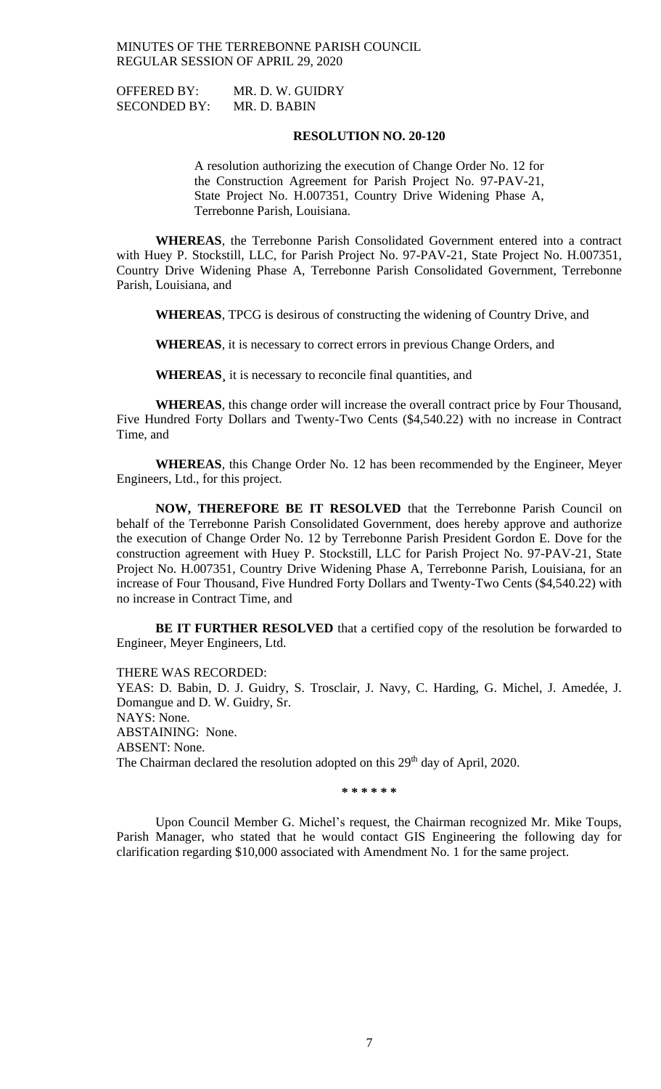OFFERED BY: MR. D. W. GUIDRY SECONDED BY: MR. D. BABIN

**RESOLUTION NO. 20-120**

A resolution authorizing the execution of Change Order No. 12 for the Construction Agreement for Parish Project No. 97-PAV-21, State Project No. H.007351, Country Drive Widening Phase A, Terrebonne Parish, Louisiana.

**WHEREAS**, the Terrebonne Parish Consolidated Government entered into a contract with Huey P. Stockstill, LLC, for Parish Project No. 97-PAV-21, State Project No. H.007351, Country Drive Widening Phase A, Terrebonne Parish Consolidated Government, Terrebonne Parish, Louisiana, and

**WHEREAS**, TPCG is desirous of constructing the widening of Country Drive, and

**WHEREAS**, it is necessary to correct errors in previous Change Orders, and

**WHEREAS¸** it is necessary to reconcile final quantities, and

**WHEREAS**, this change order will increase the overall contract price by Four Thousand, Five Hundred Forty Dollars and Twenty-Two Cents (\$4,540.22) with no increase in Contract Time, and

**WHEREAS**, this Change Order No. 12 has been recommended by the Engineer, Meyer Engineers, Ltd., for this project.

**NOW, THEREFORE BE IT RESOLVED** that the Terrebonne Parish Council on behalf of the Terrebonne Parish Consolidated Government, does hereby approve and authorize the execution of Change Order No. 12 by Terrebonne Parish President Gordon E. Dove for the construction agreement with Huey P. Stockstill, LLC for Parish Project No. 97-PAV-21, State Project No. H.007351, Country Drive Widening Phase A, Terrebonne Parish, Louisiana, for an increase of Four Thousand, Five Hundred Forty Dollars and Twenty-Two Cents (\$4,540.22) with no increase in Contract Time, and

**BE IT FURTHER RESOLVED** that a certified copy of the resolution be forwarded to Engineer, Meyer Engineers, Ltd.

THERE WAS RECORDED:

YEAS: D. Babin, D. J. Guidry, S. Trosclair, J. Navy, C. Harding, G. Michel, J. Amedée, J. Domangue and D. W. Guidry, Sr. NAYS: None. ABSTAINING: None. ABSENT: None. The Chairman declared the resolution adopted on this 29<sup>th</sup> day of April, 2020.

**\* \* \* \* \* \***

Upon Council Member G. Michel's request, the Chairman recognized Mr. Mike Toups, Parish Manager, who stated that he would contact GIS Engineering the following day for clarification regarding \$10,000 associated with Amendment No. 1 for the same project.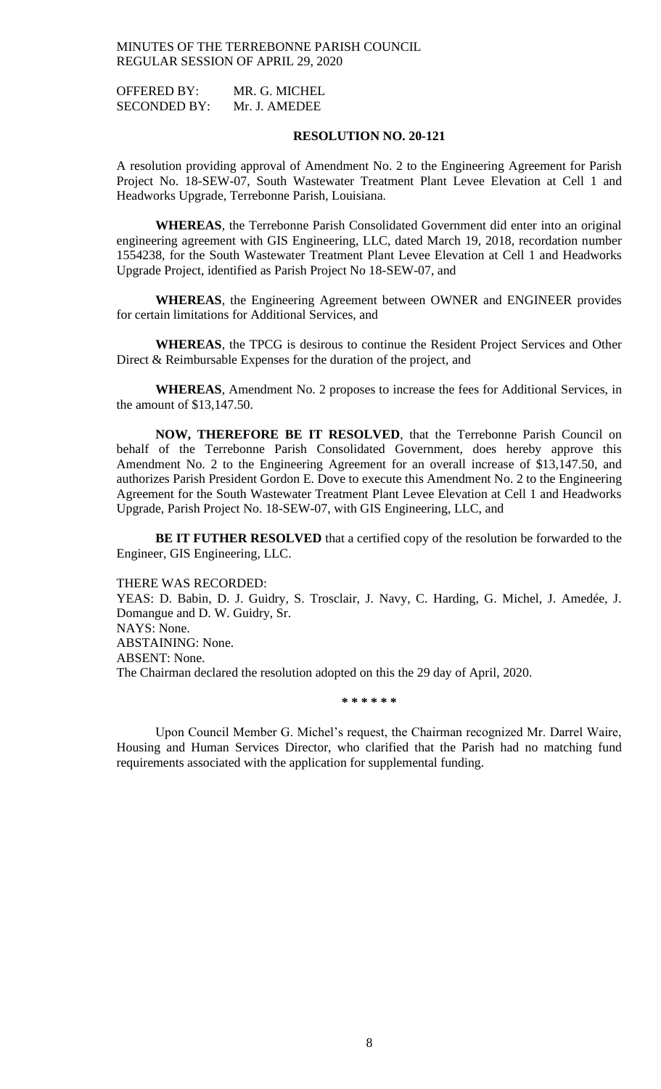OFFERED BY: MR. G. MICHEL SECONDED BY: Mr. J. AMEDEE

### **RESOLUTION NO. 20-121**

A resolution providing approval of Amendment No. 2 to the Engineering Agreement for Parish Project No. 18-SEW-07, South Wastewater Treatment Plant Levee Elevation at Cell 1 and Headworks Upgrade, Terrebonne Parish, Louisiana.

**WHEREAS**, the Terrebonne Parish Consolidated Government did enter into an original engineering agreement with GIS Engineering, LLC, dated March 19, 2018, recordation number 1554238, for the South Wastewater Treatment Plant Levee Elevation at Cell 1 and Headworks Upgrade Project, identified as Parish Project No 18-SEW-07, and

**WHEREAS**, the Engineering Agreement between OWNER and ENGINEER provides for certain limitations for Additional Services, and

**WHEREAS**, the TPCG is desirous to continue the Resident Project Services and Other Direct & Reimbursable Expenses for the duration of the project, and

**WHEREAS**, Amendment No. 2 proposes to increase the fees for Additional Services, in the amount of \$13,147.50.

**NOW, THEREFORE BE IT RESOLVED**, that the Terrebonne Parish Council on behalf of the Terrebonne Parish Consolidated Government, does hereby approve this Amendment No. 2 to the Engineering Agreement for an overall increase of \$13,147.50, and authorizes Parish President Gordon E. Dove to execute this Amendment No. 2 to the Engineering Agreement for the South Wastewater Treatment Plant Levee Elevation at Cell 1 and Headworks Upgrade, Parish Project No. 18-SEW-07, with GIS Engineering, LLC, and

**BE IT FUTHER RESOLVED** that a certified copy of the resolution be forwarded to the Engineer, GIS Engineering, LLC.

THERE WAS RECORDED: YEAS: D. Babin, D. J. Guidry, S. Trosclair, J. Navy, C. Harding, G. Michel, J. Amedée, J. Domangue and D. W. Guidry, Sr. NAYS: None. ABSTAINING: None. ABSENT: None. The Chairman declared the resolution adopted on this the 29 day of April, 2020.

**\* \* \* \* \* \***

Upon Council Member G. Michel's request, the Chairman recognized Mr. Darrel Waire, Housing and Human Services Director, who clarified that the Parish had no matching fund requirements associated with the application for supplemental funding.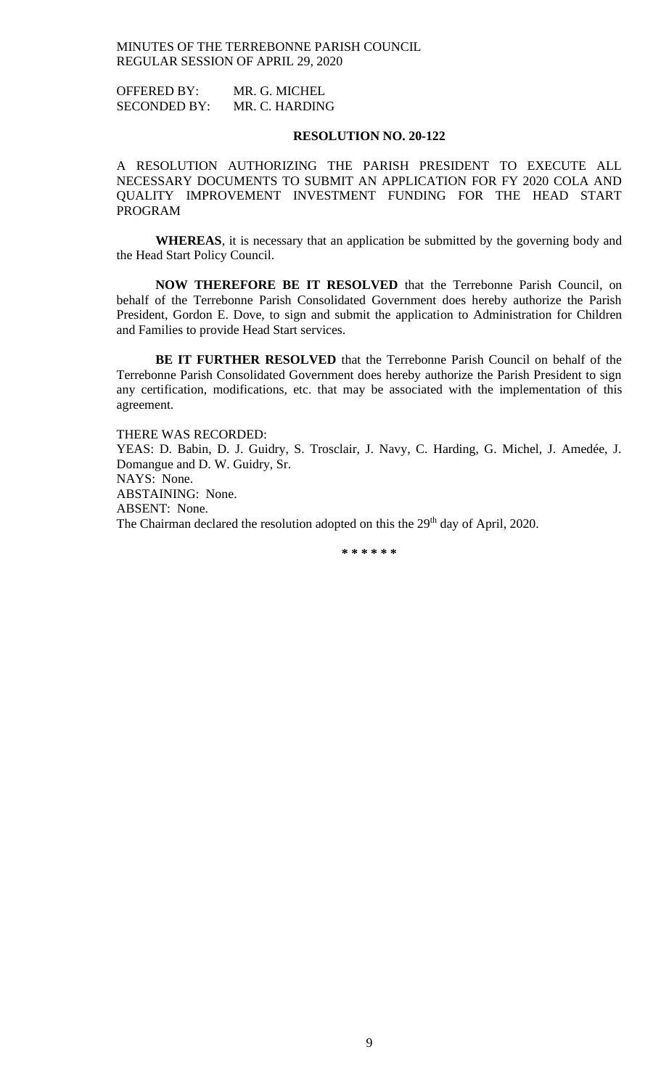OFFERED BY: MR. G. MICHEL SECONDED BY: MR. C. HARDING

### **RESOLUTION NO. 20-122**

A RESOLUTION AUTHORIZING THE PARISH PRESIDENT TO EXECUTE ALL NECESSARY DOCUMENTS TO SUBMIT AN APPLICATION FOR FY 2020 COLA AND QUALITY IMPROVEMENT INVESTMENT FUNDING FOR THE HEAD START PROGRAM

**WHEREAS**, it is necessary that an application be submitted by the governing body and the Head Start Policy Council.

**NOW THEREFORE BE IT RESOLVED** that the Terrebonne Parish Council, on behalf of the Terrebonne Parish Consolidated Government does hereby authorize the Parish President, Gordon E. Dove, to sign and submit the application to Administration for Children and Families to provide Head Start services.

**BE IT FURTHER RESOLVED** that the Terrebonne Parish Council on behalf of the Terrebonne Parish Consolidated Government does hereby authorize the Parish President to sign any certification, modifications, etc. that may be associated with the implementation of this agreement.

THERE WAS RECORDED: YEAS: D. Babin, D. J. Guidry, S. Trosclair, J. Navy, C. Harding, G. Michel, J. Amedée, J. Domangue and D. W. Guidry, Sr. NAYS: None. ABSTAINING: None. ABSENT: None. The Chairman declared the resolution adopted on this the 29<sup>th</sup> day of April, 2020.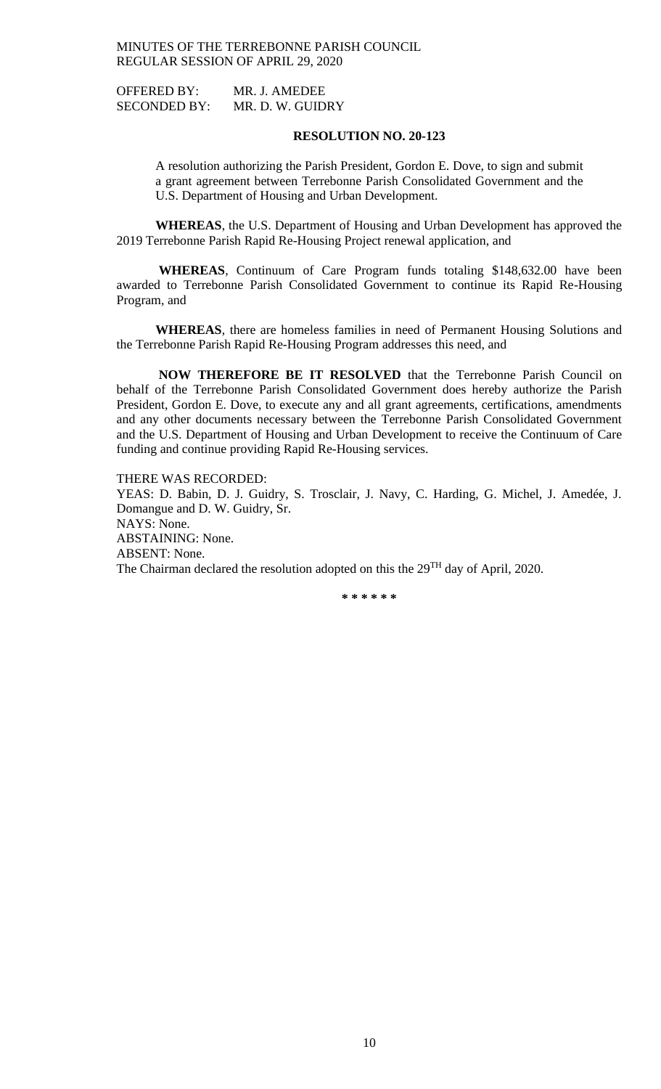OFFERED BY: MR. J. AMEDEE SECONDED BY: MR. D. W. GUIDRY

#### **RESOLUTION NO. 20-123**

A resolution authorizing the Parish President, Gordon E. Dove, to sign and submit a grant agreement between Terrebonne Parish Consolidated Government and the U.S. Department of Housing and Urban Development.

**WHEREAS**, the U.S. Department of Housing and Urban Development has approved the 2019 Terrebonne Parish Rapid Re-Housing Project renewal application, and

**WHEREAS**, Continuum of Care Program funds totaling \$148,632.00 have been awarded to Terrebonne Parish Consolidated Government to continue its Rapid Re-Housing Program, and

**WHEREAS**, there are homeless families in need of Permanent Housing Solutions and the Terrebonne Parish Rapid Re-Housing Program addresses this need, and

**NOW THEREFORE BE IT RESOLVED** that the Terrebonne Parish Council on behalf of the Terrebonne Parish Consolidated Government does hereby authorize the Parish President, Gordon E. Dove, to execute any and all grant agreements, certifications, amendments and any other documents necessary between the Terrebonne Parish Consolidated Government and the U.S. Department of Housing and Urban Development to receive the Continuum of Care funding and continue providing Rapid Re-Housing services.

THERE WAS RECORDED: YEAS: D. Babin, D. J. Guidry, S. Trosclair, J. Navy, C. Harding, G. Michel, J. Amedée, J. Domangue and D. W. Guidry, Sr. NAYS: None. ABSTAINING: None. ABSENT: None. The Chairman declared the resolution adopted on this the 29<sup>TH</sup> day of April, 2020.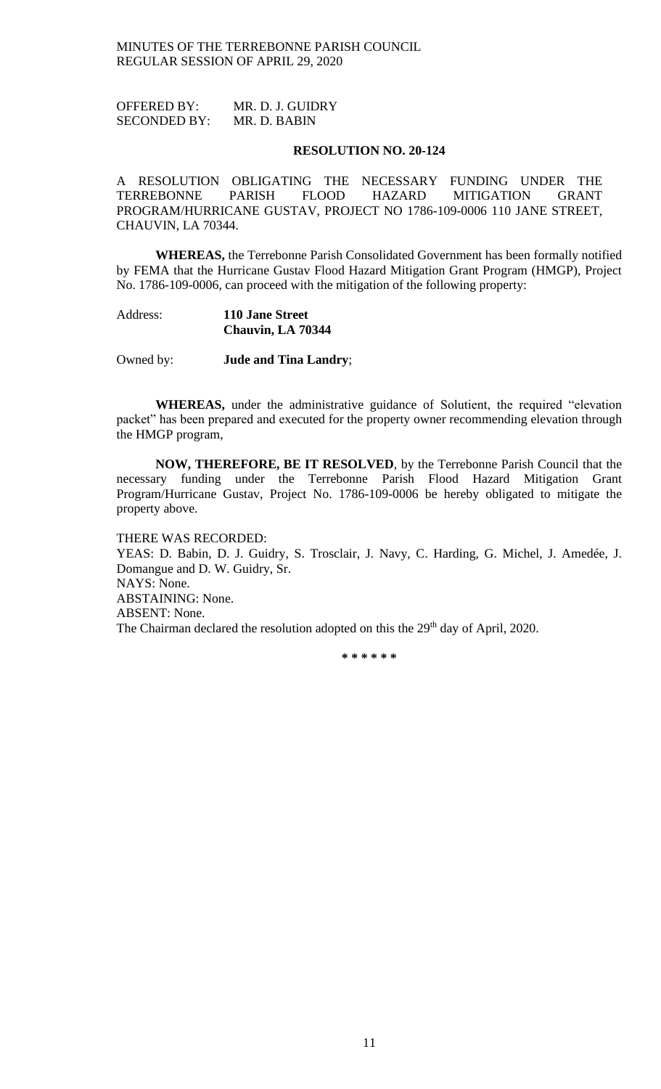OFFERED BY: MR. D. J. GUIDRY SECONDED BY: MR. D. BABIN

#### **RESOLUTION NO. 20-124**

A RESOLUTION OBLIGATING THE NECESSARY FUNDING UNDER THE TERREBONNE PARISH FLOOD HAZARD MITIGATION GRANT PROGRAM/HURRICANE GUSTAV, PROJECT NO 1786-109-0006 110 JANE STREET, CHAUVIN, LA 70344.

**WHEREAS,** the Terrebonne Parish Consolidated Government has been formally notified by FEMA that the Hurricane Gustav Flood Hazard Mitigation Grant Program (HMGP), Project No. 1786-109-0006, can proceed with the mitigation of the following property:

## Address: **110 Jane Street Chauvin, LA 70344**

Owned by: **Jude and Tina Landry**;

**WHEREAS,** under the administrative guidance of Solutient, the required "elevation packet" has been prepared and executed for the property owner recommending elevation through the HMGP program,

**NOW, THEREFORE, BE IT RESOLVED**, by the Terrebonne Parish Council that the necessary funding under the Terrebonne Parish Flood Hazard Mitigation Grant Program/Hurricane Gustav, Project No. 1786-109-0006 be hereby obligated to mitigate the property above.

#### THERE WAS RECORDED:

YEAS: D. Babin, D. J. Guidry, S. Trosclair, J. Navy, C. Harding, G. Michel, J. Amedée, J. Domangue and D. W. Guidry, Sr. NAYS: None. ABSTAINING: None. ABSENT: None. The Chairman declared the resolution adopted on this the 29<sup>th</sup> day of April, 2020.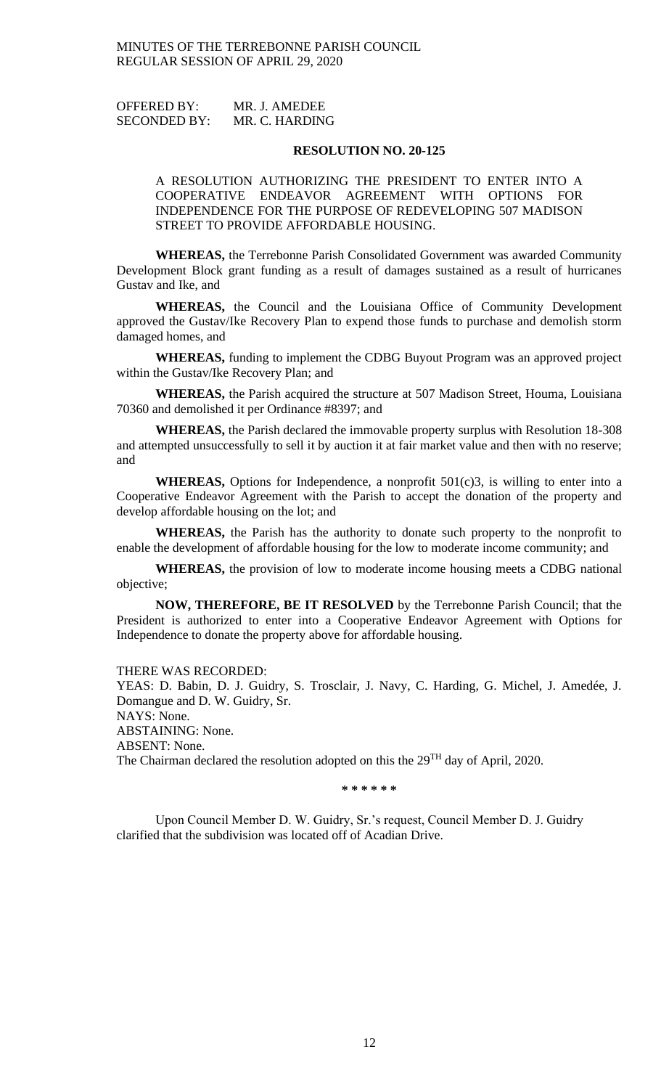OFFERED BY: MR. J. AMEDEE SECONDED BY: MR. C. HARDING

#### **RESOLUTION NO. 20-125**

A RESOLUTION AUTHORIZING THE PRESIDENT TO ENTER INTO A COOPERATIVE ENDEAVOR AGREEMENT WITH OPTIONS FOR INDEPENDENCE FOR THE PURPOSE OF REDEVELOPING 507 MADISON STREET TO PROVIDE AFFORDABLE HOUSING.

**WHEREAS,** the Terrebonne Parish Consolidated Government was awarded Community Development Block grant funding as a result of damages sustained as a result of hurricanes Gustav and Ike, and

**WHEREAS,** the Council and the Louisiana Office of Community Development approved the Gustav/Ike Recovery Plan to expend those funds to purchase and demolish storm damaged homes, and

**WHEREAS,** funding to implement the CDBG Buyout Program was an approved project within the Gustav/Ike Recovery Plan; and

**WHEREAS,** the Parish acquired the structure at 507 Madison Street, Houma, Louisiana 70360 and demolished it per Ordinance #8397; and

**WHEREAS,** the Parish declared the immovable property surplus with Resolution 18-308 and attempted unsuccessfully to sell it by auction it at fair market value and then with no reserve; and

**WHEREAS,** Options for Independence, a nonprofit 501(c)3, is willing to enter into a Cooperative Endeavor Agreement with the Parish to accept the donation of the property and develop affordable housing on the lot; and

**WHEREAS,** the Parish has the authority to donate such property to the nonprofit to enable the development of affordable housing for the low to moderate income community; and

**WHEREAS,** the provision of low to moderate income housing meets a CDBG national objective;

**NOW, THEREFORE, BE IT RESOLVED** by the Terrebonne Parish Council; that the President is authorized to enter into a Cooperative Endeavor Agreement with Options for Independence to donate the property above for affordable housing.

#### THERE WAS RECORDED:

YEAS: D. Babin, D. J. Guidry, S. Trosclair, J. Navy, C. Harding, G. Michel, J. Amedée, J. Domangue and D. W. Guidry, Sr.

NAYS: None.

ABSTAINING: None.

ABSENT: None.

The Chairman declared the resolution adopted on this the 29<sup>TH</sup> day of April, 2020.

**\* \* \* \* \* \***

Upon Council Member D. W. Guidry, Sr.'s request, Council Member D. J. Guidry clarified that the subdivision was located off of Acadian Drive.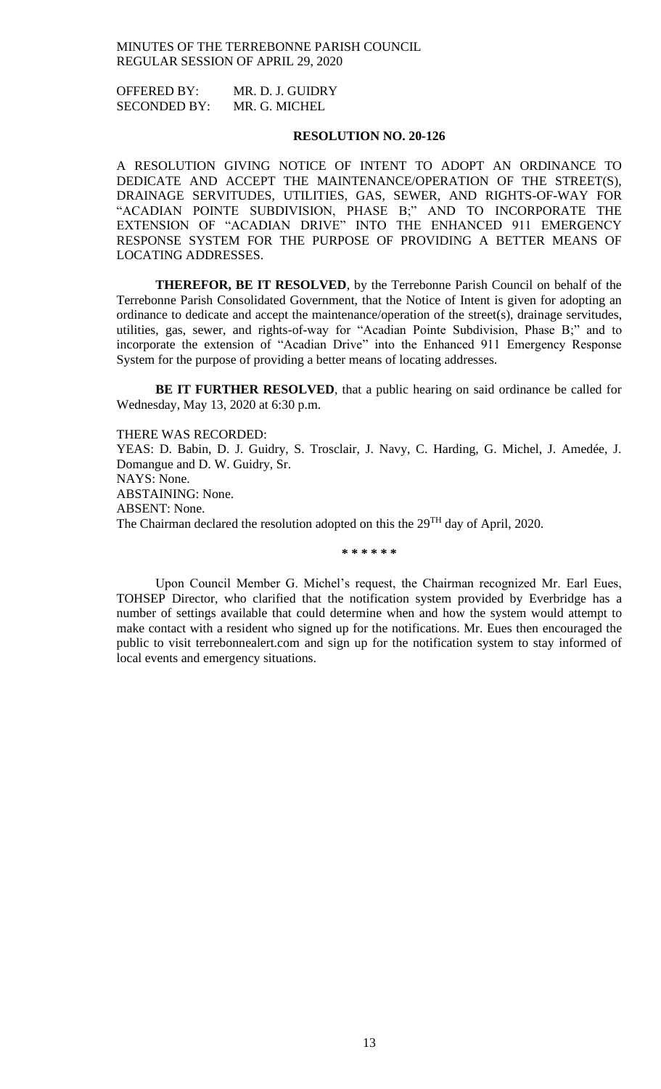OFFERED BY: MR. D. J. GUIDRY SECONDED BY: MR. G. MICHEL

## **RESOLUTION NO. 20-126**

A RESOLUTION GIVING NOTICE OF INTENT TO ADOPT AN ORDINANCE TO DEDICATE AND ACCEPT THE MAINTENANCE/OPERATION OF THE STREET(S), DRAINAGE SERVITUDES, UTILITIES, GAS, SEWER, AND RIGHTS-OF-WAY FOR "ACADIAN POINTE SUBDIVISION, PHASE B;" AND TO INCORPORATE THE EXTENSION OF "ACADIAN DRIVE" INTO THE ENHANCED 911 EMERGENCY RESPONSE SYSTEM FOR THE PURPOSE OF PROVIDING A BETTER MEANS OF LOCATING ADDRESSES.

**THEREFOR, BE IT RESOLVED**, by the Terrebonne Parish Council on behalf of the Terrebonne Parish Consolidated Government, that the Notice of Intent is given for adopting an ordinance to dedicate and accept the maintenance/operation of the street(s), drainage servitudes, utilities, gas, sewer, and rights-of-way for "Acadian Pointe Subdivision, Phase B;" and to incorporate the extension of "Acadian Drive" into the Enhanced 911 Emergency Response System for the purpose of providing a better means of locating addresses.

**BE IT FURTHER RESOLVED**, that a public hearing on said ordinance be called for Wednesday, May 13, 2020 at 6:30 p.m.

THERE WAS RECORDED: YEAS: D. Babin, D. J. Guidry, S. Trosclair, J. Navy, C. Harding, G. Michel, J. Amedée, J. Domangue and D. W. Guidry, Sr. NAYS: None. ABSTAINING: None. ABSENT: None. The Chairman declared the resolution adopted on this the 29<sup>TH</sup> day of April, 2020.

**\* \* \* \* \* \***

Upon Council Member G. Michel's request, the Chairman recognized Mr. Earl Eues, TOHSEP Director, who clarified that the notification system provided by Everbridge has a number of settings available that could determine when and how the system would attempt to make contact with a resident who signed up for the notifications. Mr. Eues then encouraged the public to visit terrebonnealert.com and sign up for the notification system to stay informed of local events and emergency situations.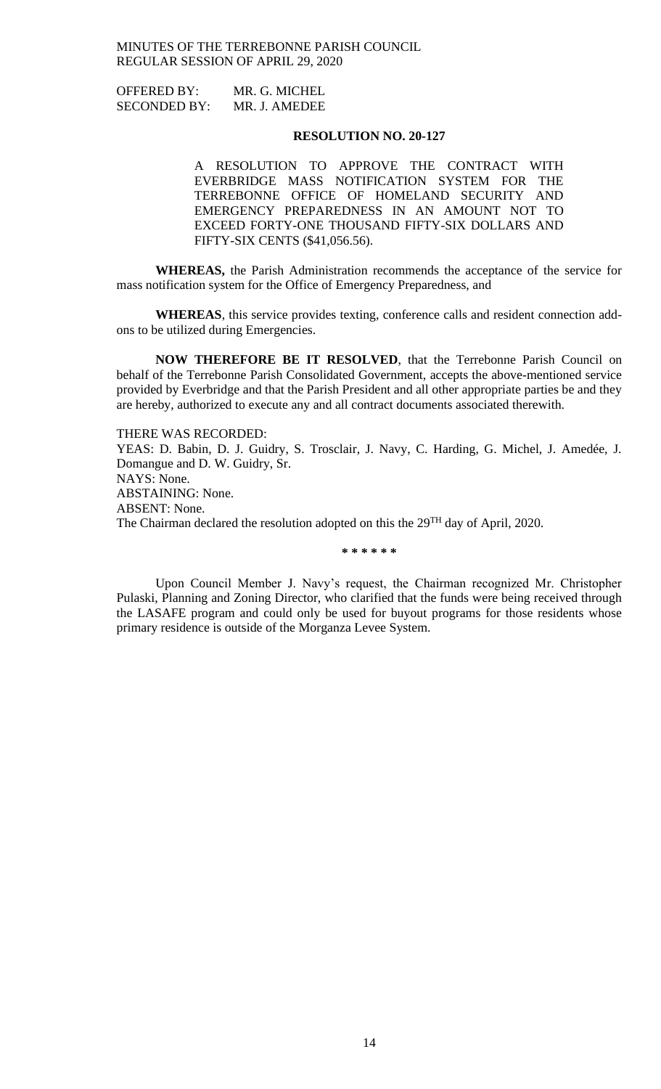| <b>OFFERED BY:</b>  | MR. G. MICHEL |
|---------------------|---------------|
| <b>SECONDED BY:</b> | MR. J. AMEDEE |

### **RESOLUTION NO. 20-127**

A RESOLUTION TO APPROVE THE CONTRACT WITH EVERBRIDGE MASS NOTIFICATION SYSTEM FOR THE TERREBONNE OFFICE OF HOMELAND SECURITY AND EMERGENCY PREPAREDNESS IN AN AMOUNT NOT TO EXCEED FORTY-ONE THOUSAND FIFTY-SIX DOLLARS AND FIFTY-SIX CENTS (\$41,056.56).

**WHEREAS,** the Parish Administration recommends the acceptance of the service for mass notification system for the Office of Emergency Preparedness, and

**WHEREAS**, this service provides texting, conference calls and resident connection addons to be utilized during Emergencies.

**NOW THEREFORE BE IT RESOLVED**, that the Terrebonne Parish Council on behalf of the Terrebonne Parish Consolidated Government, accepts the above-mentioned service provided by Everbridge and that the Parish President and all other appropriate parties be and they are hereby, authorized to execute any and all contract documents associated therewith.

THERE WAS RECORDED: YEAS: D. Babin, D. J. Guidry, S. Trosclair, J. Navy, C. Harding, G. Michel, J. Amedée, J. Domangue and D. W. Guidry, Sr. NAYS: None. ABSTAINING: None. ABSENT: None. The Chairman declared the resolution adopted on this the  $29<sup>TH</sup>$  day of April, 2020.

**\* \* \* \* \* \***

Upon Council Member J. Navy's request, the Chairman recognized Mr. Christopher Pulaski, Planning and Zoning Director, who clarified that the funds were being received through the LASAFE program and could only be used for buyout programs for those residents whose primary residence is outside of the Morganza Levee System.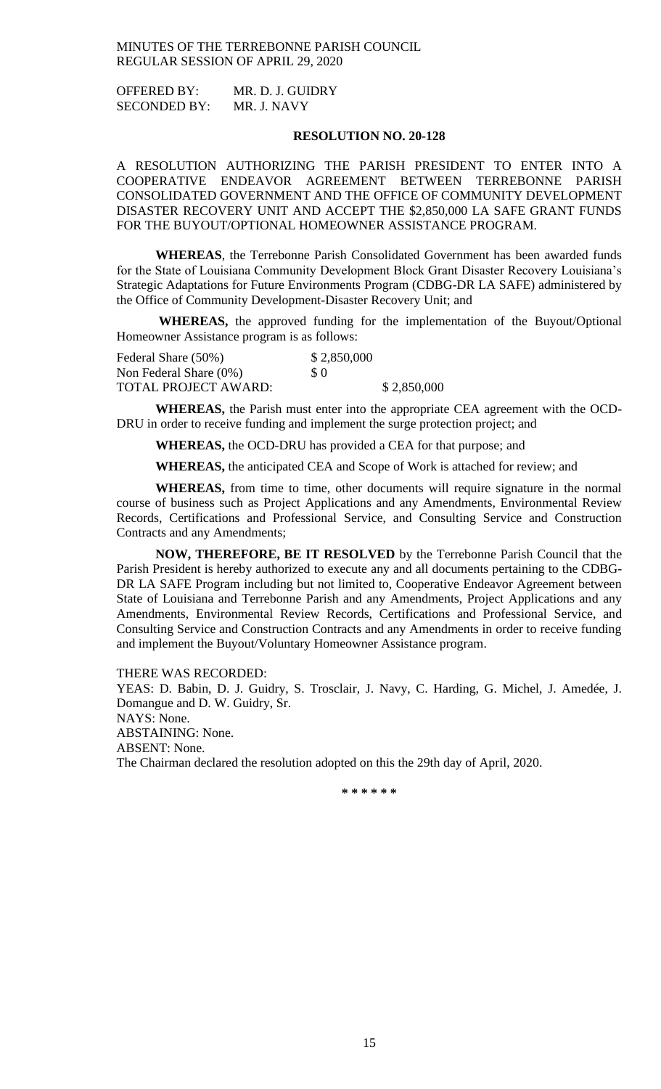OFFERED BY: MR. D. J. GUIDRY SECONDED BY: MR. J. NAVY

## **RESOLUTION NO. 20-128**

A RESOLUTION AUTHORIZING THE PARISH PRESIDENT TO ENTER INTO A COOPERATIVE ENDEAVOR AGREEMENT BETWEEN TERREBONNE PARISH CONSOLIDATED GOVERNMENT AND THE OFFICE OF COMMUNITY DEVELOPMENT DISASTER RECOVERY UNIT AND ACCEPT THE \$2,850,000 LA SAFE GRANT FUNDS FOR THE BUYOUT/OPTIONAL HOMEOWNER ASSISTANCE PROGRAM.

**WHEREAS**, the Terrebonne Parish Consolidated Government has been awarded funds for the State of Louisiana Community Development Block Grant Disaster Recovery Louisiana's Strategic Adaptations for Future Environments Program (CDBG-DR LA SAFE) administered by the Office of Community Development-Disaster Recovery Unit; and

**WHEREAS,** the approved funding for the implementation of the Buyout/Optional Homeowner Assistance program is as follows:

| Federal Share (50%)         | \$2,850,000 |             |
|-----------------------------|-------------|-------------|
| Non Federal Share $(0\%)$   | S O         |             |
| <b>TOTAL PROJECT AWARD:</b> |             | \$2,850,000 |

**WHEREAS,** the Parish must enter into the appropriate CEA agreement with the OCD-DRU in order to receive funding and implement the surge protection project; and

**WHEREAS,** the OCD-DRU has provided a CEA for that purpose; and

**WHEREAS,** the anticipated CEA and Scope of Work is attached for review; and

**WHEREAS,** from time to time, other documents will require signature in the normal course of business such as Project Applications and any Amendments, Environmental Review Records, Certifications and Professional Service, and Consulting Service and Construction Contracts and any Amendments;

**NOW, THEREFORE, BE IT RESOLVED** by the Terrebonne Parish Council that the Parish President is hereby authorized to execute any and all documents pertaining to the CDBG-DR LA SAFE Program including but not limited to, Cooperative Endeavor Agreement between State of Louisiana and Terrebonne Parish and any Amendments, Project Applications and any Amendments, Environmental Review Records, Certifications and Professional Service, and Consulting Service and Construction Contracts and any Amendments in order to receive funding and implement the Buyout/Voluntary Homeowner Assistance program.

THERE WAS RECORDED:

YEAS: D. Babin, D. J. Guidry, S. Trosclair, J. Navy, C. Harding, G. Michel, J. Amedée, J. Domangue and D. W. Guidry, Sr. NAYS: None. ABSTAINING: None. ABSENT: None. The Chairman declared the resolution adopted on this the 29th day of April, 2020.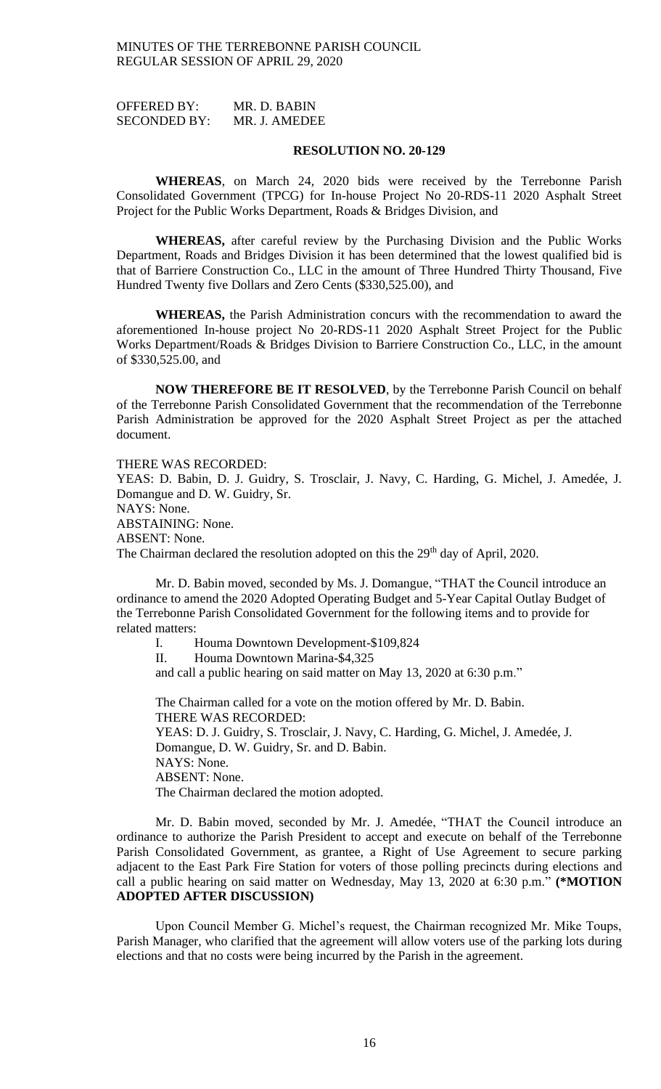OFFERED BY: MR. D. BABIN SECONDED BY: MR. J. AMEDEE

#### **RESOLUTION NO. 20-129**

**WHEREAS**, on March 24, 2020 bids were received by the Terrebonne Parish Consolidated Government (TPCG) for In-house Project No 20-RDS-11 2020 Asphalt Street Project for the Public Works Department, Roads & Bridges Division, and

**WHEREAS,** after careful review by the Purchasing Division and the Public Works Department, Roads and Bridges Division it has been determined that the lowest qualified bid is that of Barriere Construction Co., LLC in the amount of Three Hundred Thirty Thousand, Five Hundred Twenty five Dollars and Zero Cents (\$330,525.00), and

**WHEREAS,** the Parish Administration concurs with the recommendation to award the aforementioned In-house project No 20-RDS-11 2020 Asphalt Street Project for the Public Works Department/Roads & Bridges Division to Barriere Construction Co., LLC, in the amount of \$330,525.00, and

**NOW THEREFORE BE IT RESOLVED**, by the Terrebonne Parish Council on behalf of the Terrebonne Parish Consolidated Government that the recommendation of the Terrebonne Parish Administration be approved for the 2020 Asphalt Street Project as per the attached document.

THERE WAS RECORDED:

YEAS: D. Babin, D. J. Guidry, S. Trosclair, J. Navy, C. Harding, G. Michel, J. Amedée, J. Domangue and D. W. Guidry, Sr. NAYS: None. ABSTAINING: None. ABSENT: None. The Chairman declared the resolution adopted on this the 29<sup>th</sup> day of April, 2020.

Mr. D. Babin moved, seconded by Ms. J. Domangue, "THAT the Council introduce an ordinance to amend the 2020 Adopted Operating Budget and 5-Year Capital Outlay Budget of the Terrebonne Parish Consolidated Government for the following items and to provide for related matters:

I. Houma Downtown Development-\$109,824 II. Houma Downtown Marina-\$4,325

and call a public hearing on said matter on May 13, 2020 at 6:30 p.m."

The Chairman called for a vote on the motion offered by Mr. D. Babin. THERE WAS RECORDED: YEAS: D. J. Guidry, S. Trosclair, J. Navy, C. Harding, G. Michel, J. Amedée, J. Domangue, D. W. Guidry, Sr. and D. Babin. NAYS: None. ABSENT: None. The Chairman declared the motion adopted.

Mr. D. Babin moved, seconded by Mr. J. Amedée, "THAT the Council introduce an ordinance to authorize the Parish President to accept and execute on behalf of the Terrebonne Parish Consolidated Government, as grantee, a Right of Use Agreement to secure parking adjacent to the East Park Fire Station for voters of those polling precincts during elections and call a public hearing on said matter on Wednesday, May 13, 2020 at 6:30 p.m." **(\*MOTION ADOPTED AFTER DISCUSSION)**

Upon Council Member G. Michel's request, the Chairman recognized Mr. Mike Toups, Parish Manager, who clarified that the agreement will allow voters use of the parking lots during elections and that no costs were being incurred by the Parish in the agreement.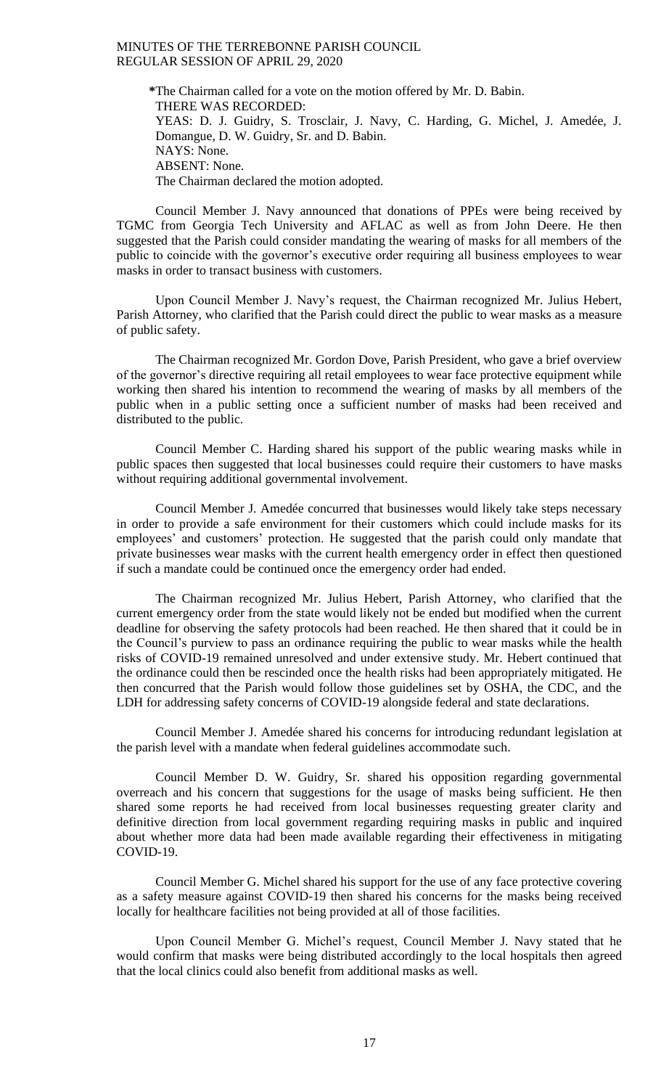**\***The Chairman called for a vote on the motion offered by Mr. D. Babin. THERE WAS RECORDED: YEAS: D. J. Guidry, S. Trosclair, J. Navy, C. Harding, G. Michel, J. Amedée, J. Domangue, D. W. Guidry, Sr. and D. Babin. NAYS: None. ABSENT: None. The Chairman declared the motion adopted.

Council Member J. Navy announced that donations of PPEs were being received by TGMC from Georgia Tech University and AFLAC as well as from John Deere. He then suggested that the Parish could consider mandating the wearing of masks for all members of the public to coincide with the governor's executive order requiring all business employees to wear masks in order to transact business with customers.

Upon Council Member J. Navy's request, the Chairman recognized Mr. Julius Hebert, Parish Attorney, who clarified that the Parish could direct the public to wear masks as a measure of public safety.

The Chairman recognized Mr. Gordon Dove, Parish President, who gave a brief overview of the governor's directive requiring all retail employees to wear face protective equipment while working then shared his intention to recommend the wearing of masks by all members of the public when in a public setting once a sufficient number of masks had been received and distributed to the public.

Council Member C. Harding shared his support of the public wearing masks while in public spaces then suggested that local businesses could require their customers to have masks without requiring additional governmental involvement.

Council Member J. Amedée concurred that businesses would likely take steps necessary in order to provide a safe environment for their customers which could include masks for its employees' and customers' protection. He suggested that the parish could only mandate that private businesses wear masks with the current health emergency order in effect then questioned if such a mandate could be continued once the emergency order had ended.

The Chairman recognized Mr. Julius Hebert, Parish Attorney, who clarified that the current emergency order from the state would likely not be ended but modified when the current deadline for observing the safety protocols had been reached. He then shared that it could be in the Council's purview to pass an ordinance requiring the public to wear masks while the health risks of COVID-19 remained unresolved and under extensive study. Mr. Hebert continued that the ordinance could then be rescinded once the health risks had been appropriately mitigated. He then concurred that the Parish would follow those guidelines set by OSHA, the CDC, and the LDH for addressing safety concerns of COVID-19 alongside federal and state declarations.

Council Member J. Amedée shared his concerns for introducing redundant legislation at the parish level with a mandate when federal guidelines accommodate such.

Council Member D. W. Guidry, Sr. shared his opposition regarding governmental overreach and his concern that suggestions for the usage of masks being sufficient. He then shared some reports he had received from local businesses requesting greater clarity and definitive direction from local government regarding requiring masks in public and inquired about whether more data had been made available regarding their effectiveness in mitigating COVID-19.

Council Member G. Michel shared his support for the use of any face protective covering as a safety measure against COVID-19 then shared his concerns for the masks being received locally for healthcare facilities not being provided at all of those facilities.

Upon Council Member G. Michel's request, Council Member J. Navy stated that he would confirm that masks were being distributed accordingly to the local hospitals then agreed that the local clinics could also benefit from additional masks as well.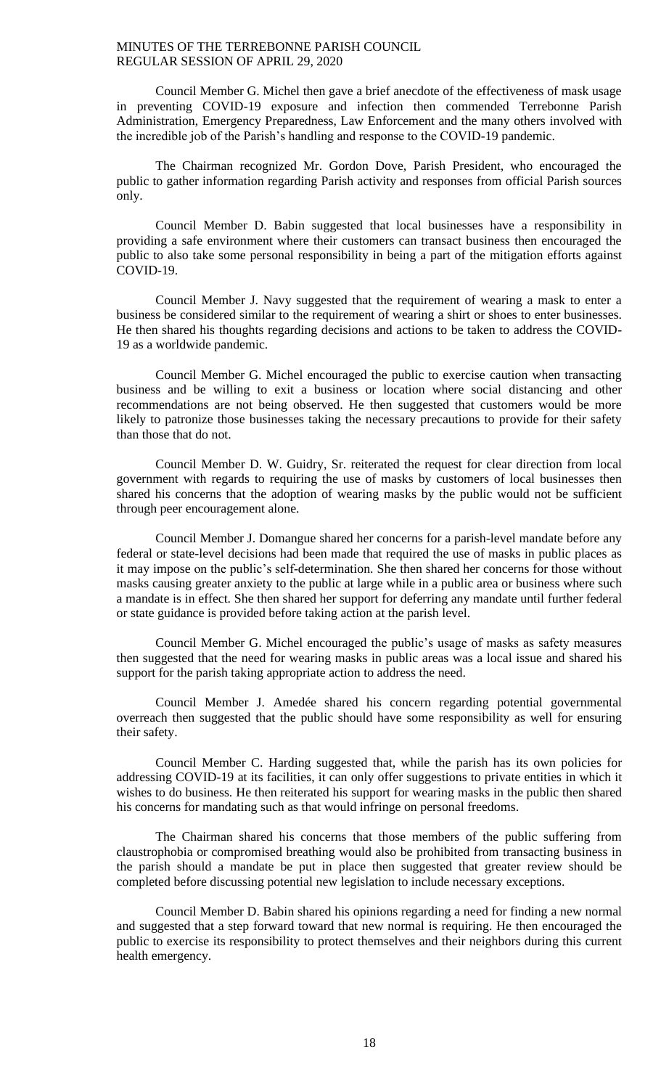Council Member G. Michel then gave a brief anecdote of the effectiveness of mask usage in preventing COVID-19 exposure and infection then commended Terrebonne Parish Administration, Emergency Preparedness, Law Enforcement and the many others involved with the incredible job of the Parish's handling and response to the COVID-19 pandemic.

The Chairman recognized Mr. Gordon Dove, Parish President, who encouraged the public to gather information regarding Parish activity and responses from official Parish sources only.

Council Member D. Babin suggested that local businesses have a responsibility in providing a safe environment where their customers can transact business then encouraged the public to also take some personal responsibility in being a part of the mitigation efforts against COVID-19.

Council Member J. Navy suggested that the requirement of wearing a mask to enter a business be considered similar to the requirement of wearing a shirt or shoes to enter businesses. He then shared his thoughts regarding decisions and actions to be taken to address the COVID-19 as a worldwide pandemic.

Council Member G. Michel encouraged the public to exercise caution when transacting business and be willing to exit a business or location where social distancing and other recommendations are not being observed. He then suggested that customers would be more likely to patronize those businesses taking the necessary precautions to provide for their safety than those that do not.

Council Member D. W. Guidry, Sr. reiterated the request for clear direction from local government with regards to requiring the use of masks by customers of local businesses then shared his concerns that the adoption of wearing masks by the public would not be sufficient through peer encouragement alone.

Council Member J. Domangue shared her concerns for a parish-level mandate before any federal or state-level decisions had been made that required the use of masks in public places as it may impose on the public's self-determination. She then shared her concerns for those without masks causing greater anxiety to the public at large while in a public area or business where such a mandate is in effect. She then shared her support for deferring any mandate until further federal or state guidance is provided before taking action at the parish level.

Council Member G. Michel encouraged the public's usage of masks as safety measures then suggested that the need for wearing masks in public areas was a local issue and shared his support for the parish taking appropriate action to address the need.

Council Member J. Amedée shared his concern regarding potential governmental overreach then suggested that the public should have some responsibility as well for ensuring their safety.

Council Member C. Harding suggested that, while the parish has its own policies for addressing COVID-19 at its facilities, it can only offer suggestions to private entities in which it wishes to do business. He then reiterated his support for wearing masks in the public then shared his concerns for mandating such as that would infringe on personal freedoms.

The Chairman shared his concerns that those members of the public suffering from claustrophobia or compromised breathing would also be prohibited from transacting business in the parish should a mandate be put in place then suggested that greater review should be completed before discussing potential new legislation to include necessary exceptions.

Council Member D. Babin shared his opinions regarding a need for finding a new normal and suggested that a step forward toward that new normal is requiring. He then encouraged the public to exercise its responsibility to protect themselves and their neighbors during this current health emergency.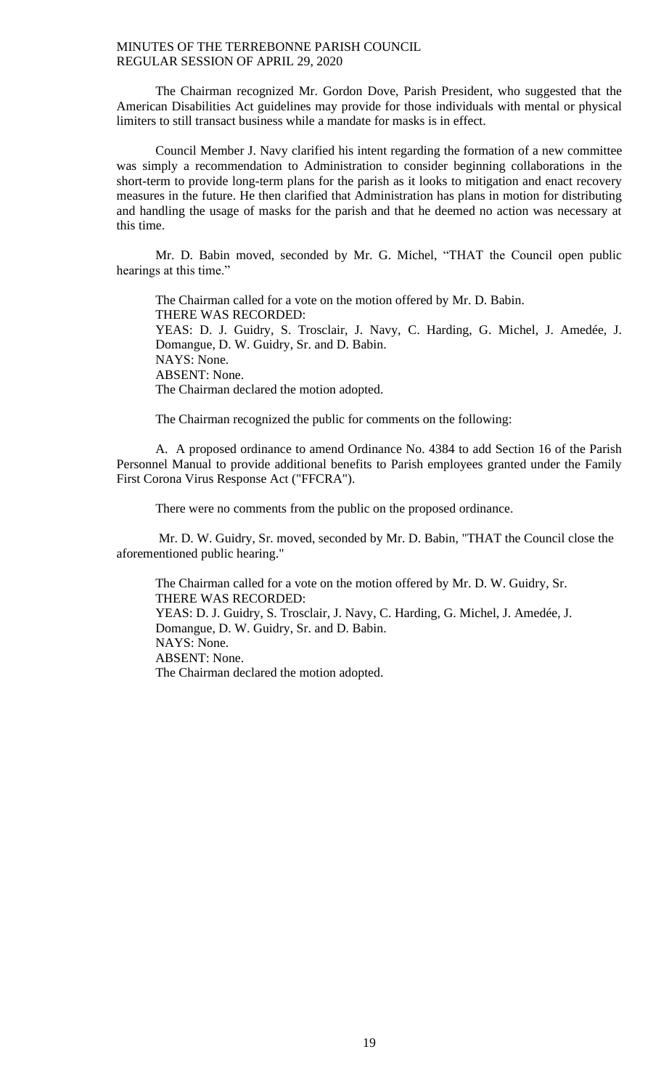The Chairman recognized Mr. Gordon Dove, Parish President, who suggested that the American Disabilities Act guidelines may provide for those individuals with mental or physical limiters to still transact business while a mandate for masks is in effect.

Council Member J. Navy clarified his intent regarding the formation of a new committee was simply a recommendation to Administration to consider beginning collaborations in the short-term to provide long-term plans for the parish as it looks to mitigation and enact recovery measures in the future. He then clarified that Administration has plans in motion for distributing and handling the usage of masks for the parish and that he deemed no action was necessary at this time.

Mr. D. Babin moved, seconded by Mr. G. Michel, "THAT the Council open public hearings at this time."

The Chairman called for a vote on the motion offered by Mr. D. Babin. THERE WAS RECORDED: YEAS: D. J. Guidry, S. Trosclair, J. Navy, C. Harding, G. Michel, J. Amedée, J. Domangue, D. W. Guidry, Sr. and D. Babin. NAYS: None. ABSENT: None. The Chairman declared the motion adopted.

The Chairman recognized the public for comments on the following:

A. A proposed ordinance to amend Ordinance No. 4384 to add Section 16 of the Parish Personnel Manual to provide additional benefits to Parish employees granted under the Family First Corona Virus Response Act ("FFCRA").

There were no comments from the public on the proposed ordinance.

Mr. D. W. Guidry, Sr. moved, seconded by Mr. D. Babin, "THAT the Council close the aforementioned public hearing."

The Chairman called for a vote on the motion offered by Mr. D. W. Guidry, Sr. THERE WAS RECORDED: YEAS: D. J. Guidry, S. Trosclair, J. Navy, C. Harding, G. Michel, J. Amedée, J. Domangue, D. W. Guidry, Sr. and D. Babin. NAYS: None. ABSENT: None. The Chairman declared the motion adopted.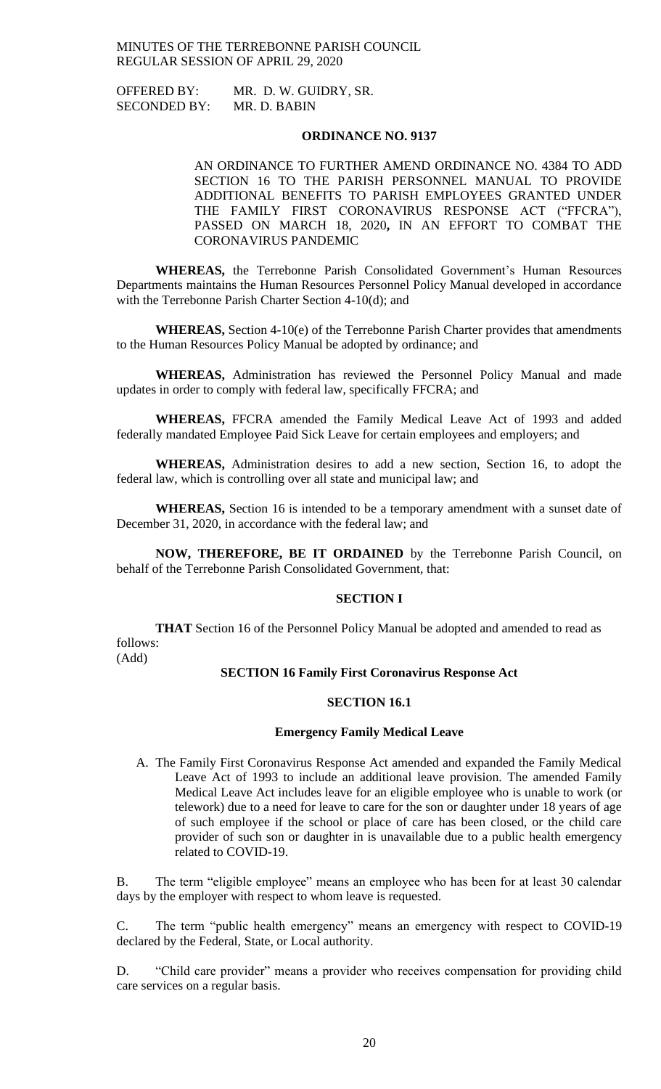OFFERED BY: MR. D. W. GUIDRY, SR. SECONDED BY: MR. D. BABIN

### **ORDINANCE NO. 9137**

AN ORDINANCE TO FURTHER AMEND ORDINANCE NO. 4384 TO ADD SECTION 16 TO THE PARISH PERSONNEL MANUAL TO PROVIDE ADDITIONAL BENEFITS TO PARISH EMPLOYEES GRANTED UNDER THE FAMILY FIRST CORONAVIRUS RESPONSE ACT ("FFCRA"), PASSED ON MARCH 18, 2020**,** IN AN EFFORT TO COMBAT THE CORONAVIRUS PANDEMIC

**WHEREAS,** the Terrebonne Parish Consolidated Government's Human Resources Departments maintains the Human Resources Personnel Policy Manual developed in accordance with the Terrebonne Parish Charter Section 4-10(d); and

**WHEREAS,** Section 4-10(e) of the Terrebonne Parish Charter provides that amendments to the Human Resources Policy Manual be adopted by ordinance; and

**WHEREAS,** Administration has reviewed the Personnel Policy Manual and made updates in order to comply with federal law, specifically FFCRA; and

**WHEREAS,** FFCRA amended the Family Medical Leave Act of 1993 and added federally mandated Employee Paid Sick Leave for certain employees and employers; and

**WHEREAS,** Administration desires to add a new section, Section 16, to adopt the federal law, which is controlling over all state and municipal law; and

**WHEREAS,** Section 16 is intended to be a temporary amendment with a sunset date of December 31, 2020, in accordance with the federal law; and

**NOW, THEREFORE, BE IT ORDAINED** by the Terrebonne Parish Council, on behalf of the Terrebonne Parish Consolidated Government, that:

#### **SECTION I**

**THAT** Section 16 of the Personnel Policy Manual be adopted and amended to read as follows:

(Add)

## **SECTION 16 Family First Coronavirus Response Act**

### **SECTION 16.1**

#### **Emergency Family Medical Leave**

A. The Family First Coronavirus Response Act amended and expanded the Family Medical Leave Act of 1993 to include an additional leave provision. The amended Family Medical Leave Act includes leave for an eligible employee who is unable to work (or telework) due to a need for leave to care for the son or daughter under 18 years of age of such employee if the school or place of care has been closed, or the child care provider of such son or daughter in is unavailable due to a public health emergency related to COVID-19.

B. The term "eligible employee" means an employee who has been for at least 30 calendar days by the employer with respect to whom leave is requested.

C. The term "public health emergency" means an emergency with respect to COVID-19 declared by the Federal, State, or Local authority.

D. "Child care provider" means a provider who receives compensation for providing child care services on a regular basis.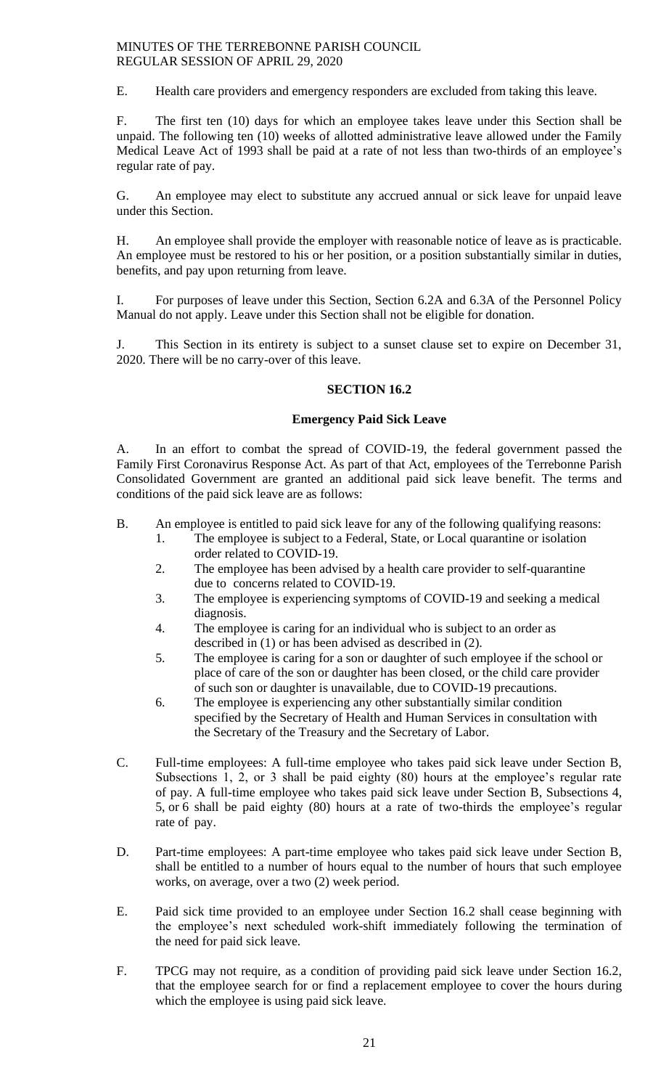E. Health care providers and emergency responders are excluded from taking this leave.

F. The first ten (10) days for which an employee takes leave under this Section shall be unpaid. The following ten (10) weeks of allotted administrative leave allowed under the Family Medical Leave Act of 1993 shall be paid at a rate of not less than two-thirds of an employee's regular rate of pay.

G. An employee may elect to substitute any accrued annual or sick leave for unpaid leave under this Section.

H. An employee shall provide the employer with reasonable notice of leave as is practicable. An employee must be restored to his or her position, or a position substantially similar in duties, benefits, and pay upon returning from leave.

I. For purposes of leave under this Section, Section 6.2A and 6.3A of the Personnel Policy Manual do not apply. Leave under this Section shall not be eligible for donation.

J. This Section in its entirety is subject to a sunset clause set to expire on December 31, 2020. There will be no carry-over of this leave.

## **SECTION 16.2**

## **Emergency Paid Sick Leave**

A. In an effort to combat the spread of COVID-19, the federal government passed the Family First Coronavirus Response Act. As part of that Act, employees of the Terrebonne Parish Consolidated Government are granted an additional paid sick leave benefit. The terms and conditions of the paid sick leave are as follows:

- B. An employee is entitled to paid sick leave for any of the following qualifying reasons: 1. The employee is subject to a Federal, State, or Local quarantine or isolation
	- order related to COVID-19.
	- 2. The employee has been advised by a health care provider to self-quarantine due to concerns related to COVID-19.
	- 3. The employee is experiencing symptoms of COVID-19 and seeking a medical diagnosis.
	- 4. The employee is caring for an individual who is subject to an order as described in (1) or has been advised as described in (2).
	- 5. The employee is caring for a son or daughter of such employee if the school or place of care of the son or daughter has been closed, or the child care provider of such son or daughter is unavailable, due to COVID-19 precautions.
	- 6. The employee is experiencing any other substantially similar condition specified by the Secretary of Health and Human Services in consultation with the Secretary of the Treasury and the Secretary of Labor.
- C. Full-time employees: A full-time employee who takes paid sick leave under Section B, Subsections 1, 2, or 3 shall be paid eighty (80) hours at the employee's regular rate of pay. A full-time employee who takes paid sick leave under Section B, Subsections 4, 5, or 6 shall be paid eighty (80) hours at a rate of two-thirds the employee's regular rate of pay.
- D. Part-time employees: A part-time employee who takes paid sick leave under Section B, shall be entitled to a number of hours equal to the number of hours that such employee works, on average, over a two (2) week period.
- E. Paid sick time provided to an employee under Section 16.2 shall cease beginning with the employee's next scheduled work-shift immediately following the termination of the need for paid sick leave.
- F. TPCG may not require, as a condition of providing paid sick leave under Section 16.2, that the employee search for or find a replacement employee to cover the hours during which the employee is using paid sick leave.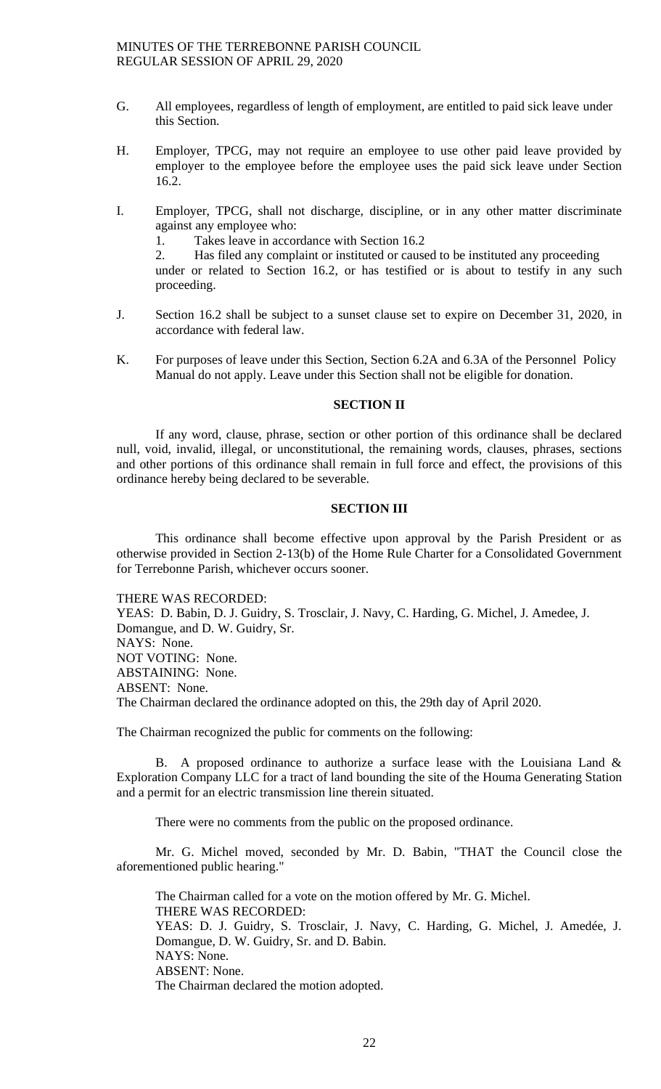- G. All employees, regardless of length of employment, are entitled to paid sick leave under this Section.
- H. Employer, TPCG, may not require an employee to use other paid leave provided by employer to the employee before the employee uses the paid sick leave under Section 16.2.
- I. Employer, TPCG, shall not discharge, discipline, or in any other matter discriminate against any employee who:

1. Takes leave in accordance with Section 16.2

2. Has filed any complaint or instituted or caused to be instituted any proceeding under or related to Section 16.2, or has testified or is about to testify in any such proceeding.

- J. Section 16.2 shall be subject to a sunset clause set to expire on December 31, 2020, in accordance with federal law.
- K. For purposes of leave under this Section, Section 6.2A and 6.3A of the Personnel Policy Manual do not apply. Leave under this Section shall not be eligible for donation.

## **SECTION II**

If any word, clause, phrase, section or other portion of this ordinance shall be declared null, void, invalid, illegal, or unconstitutional, the remaining words, clauses, phrases, sections and other portions of this ordinance shall remain in full force and effect, the provisions of this ordinance hereby being declared to be severable.

## **SECTION III**

This ordinance shall become effective upon approval by the Parish President or as otherwise provided in Section 2-13(b) of the Home Rule Charter for a Consolidated Government for Terrebonne Parish, whichever occurs sooner.

THERE WAS RECORDED:

YEAS: D. Babin, D. J. Guidry, S. Trosclair, J. Navy, C. Harding, G. Michel, J. Amedee, J. Domangue, and D. W. Guidry, Sr. NAYS: None. NOT VOTING: None. ABSTAINING: None. ABSENT: None. The Chairman declared the ordinance adopted on this, the 29th day of April 2020.

The Chairman recognized the public for comments on the following:

B. A proposed ordinance to authorize a surface lease with the Louisiana Land  $\&$ Exploration Company LLC for a tract of land bounding the site of the Houma Generating Station and a permit for an electric transmission line therein situated.

There were no comments from the public on the proposed ordinance.

Mr. G. Michel moved, seconded by Mr. D. Babin, "THAT the Council close the aforementioned public hearing."

The Chairman called for a vote on the motion offered by Mr. G. Michel. THERE WAS RECORDED: YEAS: D. J. Guidry, S. Trosclair, J. Navy, C. Harding, G. Michel, J. Amedée, J. Domangue, D. W. Guidry, Sr. and D. Babin. NAYS: None. ABSENT: None. The Chairman declared the motion adopted.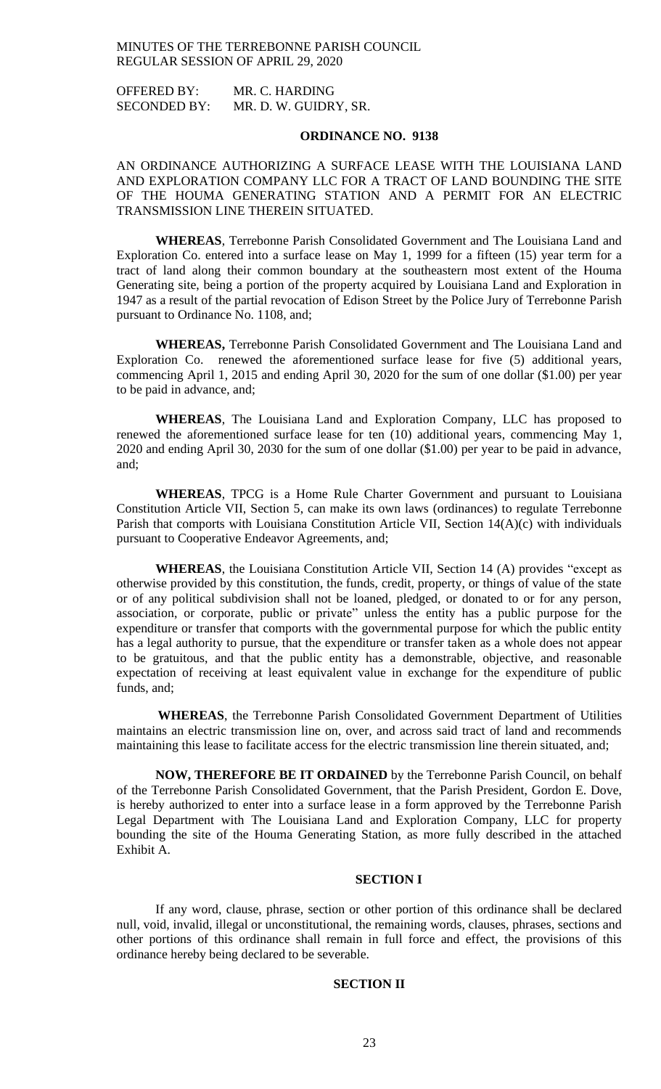OFFERED BY: MR. C. HARDING SECONDED BY: MR. D. W. GUIDRY, SR.

## **ORDINANCE NO. 9138**

AN ORDINANCE AUTHORIZING A SURFACE LEASE WITH THE LOUISIANA LAND AND EXPLORATION COMPANY LLC FOR A TRACT OF LAND BOUNDING THE SITE OF THE HOUMA GENERATING STATION AND A PERMIT FOR AN ELECTRIC TRANSMISSION LINE THEREIN SITUATED.

**WHEREAS**, Terrebonne Parish Consolidated Government and The Louisiana Land and Exploration Co. entered into a surface lease on May 1, 1999 for a fifteen (15) year term for a tract of land along their common boundary at the southeastern most extent of the Houma Generating site, being a portion of the property acquired by Louisiana Land and Exploration in 1947 as a result of the partial revocation of Edison Street by the Police Jury of Terrebonne Parish pursuant to Ordinance No. 1108, and;

**WHEREAS,** Terrebonne Parish Consolidated Government and The Louisiana Land and Exploration Co. renewed the aforementioned surface lease for five (5) additional years, commencing April 1, 2015 and ending April 30, 2020 for the sum of one dollar (\$1.00) per year to be paid in advance, and;

**WHEREAS**, The Louisiana Land and Exploration Company, LLC has proposed to renewed the aforementioned surface lease for ten (10) additional years, commencing May 1, 2020 and ending April 30, 2030 for the sum of one dollar (\$1.00) per year to be paid in advance, and;

**WHEREAS**, TPCG is a Home Rule Charter Government and pursuant to Louisiana Constitution Article VII, Section 5, can make its own laws (ordinances) to regulate Terrebonne Parish that comports with Louisiana Constitution Article VII, Section 14(A)(c) with individuals pursuant to Cooperative Endeavor Agreements, and;

**WHEREAS**, the Louisiana Constitution Article VII, Section 14 (A) provides "except as otherwise provided by this constitution, the funds, credit, property, or things of value of the state or of any political subdivision shall not be loaned, pledged, or donated to or for any person, association, or corporate, public or private" unless the entity has a public purpose for the expenditure or transfer that comports with the governmental purpose for which the public entity has a legal authority to pursue, that the expenditure or transfer taken as a whole does not appear to be gratuitous, and that the public entity has a demonstrable, objective, and reasonable expectation of receiving at least equivalent value in exchange for the expenditure of public funds, and;

**WHEREAS**, the Terrebonne Parish Consolidated Government Department of Utilities maintains an electric transmission line on, over, and across said tract of land and recommends maintaining this lease to facilitate access for the electric transmission line therein situated, and;

**NOW, THEREFORE BE IT ORDAINED** by the Terrebonne Parish Council, on behalf of the Terrebonne Parish Consolidated Government, that the Parish President, Gordon E. Dove, is hereby authorized to enter into a surface lease in a form approved by the Terrebonne Parish Legal Department with The Louisiana Land and Exploration Company, LLC for property bounding the site of the Houma Generating Station, as more fully described in the attached Exhibit A.

## **SECTION I**

If any word, clause, phrase, section or other portion of this ordinance shall be declared null, void, invalid, illegal or unconstitutional, the remaining words, clauses, phrases, sections and other portions of this ordinance shall remain in full force and effect, the provisions of this ordinance hereby being declared to be severable.

## **SECTION II**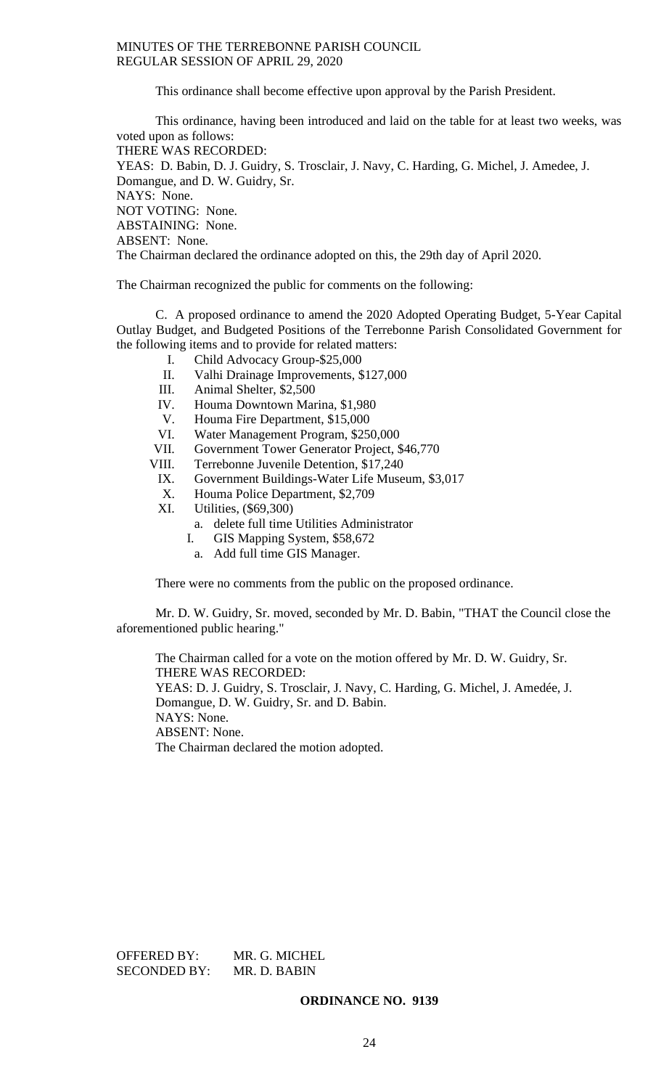This ordinance shall become effective upon approval by the Parish President.

This ordinance, having been introduced and laid on the table for at least two weeks, was voted upon as follows: THERE WAS RECORDED: YEAS: D. Babin, D. J. Guidry, S. Trosclair, J. Navy, C. Harding, G. Michel, J. Amedee, J. Domangue, and D. W. Guidry, Sr. NAYS: None. NOT VOTING: None. ABSTAINING: None. ABSENT: None. The Chairman declared the ordinance adopted on this, the 29th day of April 2020.

The Chairman recognized the public for comments on the following:

C. A proposed ordinance to amend the 2020 Adopted Operating Budget, 5-Year Capital Outlay Budget, and Budgeted Positions of the Terrebonne Parish Consolidated Government for the following items and to provide for related matters:

- I. Child Advocacy Group-\$25,000
- II. Valhi Drainage Improvements, \$127,000
- III. Animal Shelter, \$2,500
- IV. Houma Downtown Marina, \$1,980
- V. Houma Fire Department, \$15,000
- VI. Water Management Program, \$250,000
- VII. Government Tower Generator Project, \$46,770
- VIII. Terrebonne Juvenile Detention, \$17,240
	- IX. Government Buildings-Water Life Museum, \$3,017
	- X. Houma Police Department, \$2,709
	- XI. Utilities, (\$69,300)
		- a. delete full time Utilities Administrator
		- I. GIS Mapping System, \$58,672
			- a. Add full time GIS Manager.

There were no comments from the public on the proposed ordinance.

Mr. D. W. Guidry, Sr. moved, seconded by Mr. D. Babin, "THAT the Council close the aforementioned public hearing."

The Chairman called for a vote on the motion offered by Mr. D. W. Guidry, Sr. THERE WAS RECORDED: YEAS: D. J. Guidry, S. Trosclair, J. Navy, C. Harding, G. Michel, J. Amedée, J. Domangue, D. W. Guidry, Sr. and D. Babin. NAYS: None. ABSENT: None. The Chairman declared the motion adopted.

OFFERED BY: MR. G. MICHEL SECONDED BY: MR. D. BABIN

**ORDINANCE NO. 9139**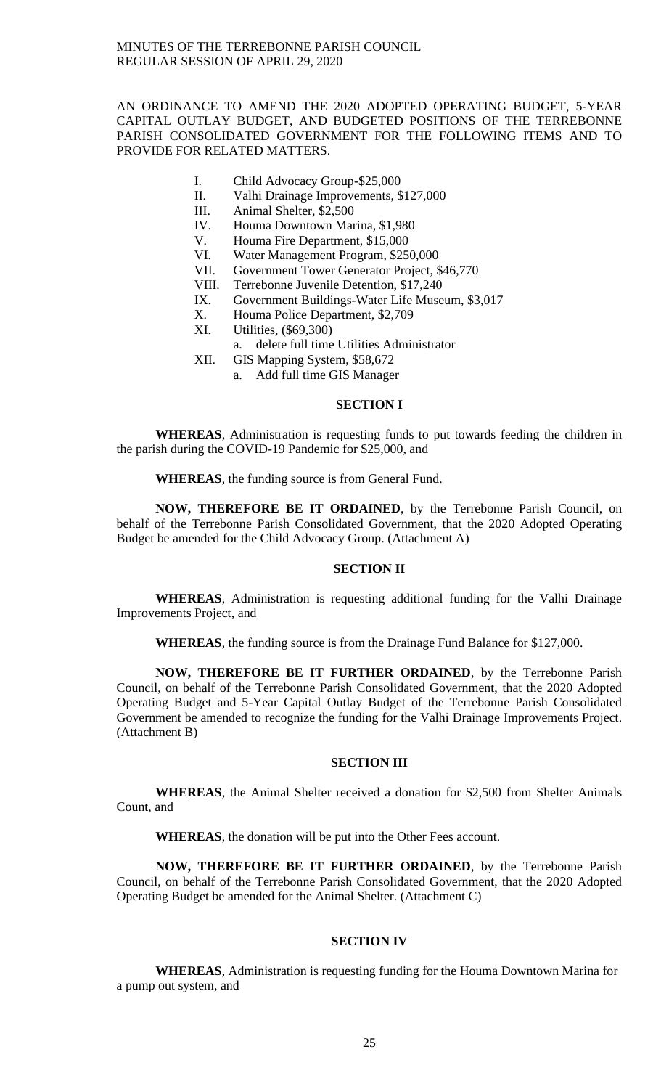## AN ORDINANCE TO AMEND THE 2020 ADOPTED OPERATING BUDGET, 5-YEAR CAPITAL OUTLAY BUDGET, AND BUDGETED POSITIONS OF THE TERREBONNE PARISH CONSOLIDATED GOVERNMENT FOR THE FOLLOWING ITEMS AND TO PROVIDE FOR RELATED MATTERS.

- I. Child Advocacy Group-\$25,000
- II. Valhi Drainage Improvements, \$127,000
- III. Animal Shelter, \$2,500
- IV. Houma Downtown Marina, \$1,980
- V. Houma Fire Department, \$15,000
- VI. Water Management Program, \$250,000
- VII. Government Tower Generator Project, \$46,770
- VIII. Terrebonne Juvenile Detention, \$17,240
- IX. Government Buildings-Water Life Museum, \$3,017
- X. Houma Police Department, \$2,709
- XI. Utilities, (\$69,300)
	- a. delete full time Utilities Administrator
- XII. GIS Mapping System, \$58,672
	- a. Add full time GIS Manager

## **SECTION I**

**WHEREAS**, Administration is requesting funds to put towards feeding the children in the parish during the COVID-19 Pandemic for \$25,000, and

**WHEREAS**, the funding source is from General Fund.

**NOW, THEREFORE BE IT ORDAINED**, by the Terrebonne Parish Council, on behalf of the Terrebonne Parish Consolidated Government, that the 2020 Adopted Operating Budget be amended for the Child Advocacy Group. (Attachment A)

## **SECTION II**

**WHEREAS**, Administration is requesting additional funding for the Valhi Drainage Improvements Project, and

**WHEREAS**, the funding source is from the Drainage Fund Balance for \$127,000.

**NOW, THEREFORE BE IT FURTHER ORDAINED**, by the Terrebonne Parish Council, on behalf of the Terrebonne Parish Consolidated Government, that the 2020 Adopted Operating Budget and 5-Year Capital Outlay Budget of the Terrebonne Parish Consolidated Government be amended to recognize the funding for the Valhi Drainage Improvements Project. (Attachment B)

#### **SECTION III**

**WHEREAS**, the Animal Shelter received a donation for \$2,500 from Shelter Animals Count, and

**WHEREAS**, the donation will be put into the Other Fees account.

**NOW, THEREFORE BE IT FURTHER ORDAINED**, by the Terrebonne Parish Council, on behalf of the Terrebonne Parish Consolidated Government, that the 2020 Adopted Operating Budget be amended for the Animal Shelter. (Attachment C)

### **SECTION IV**

**WHEREAS**, Administration is requesting funding for the Houma Downtown Marina for a pump out system, and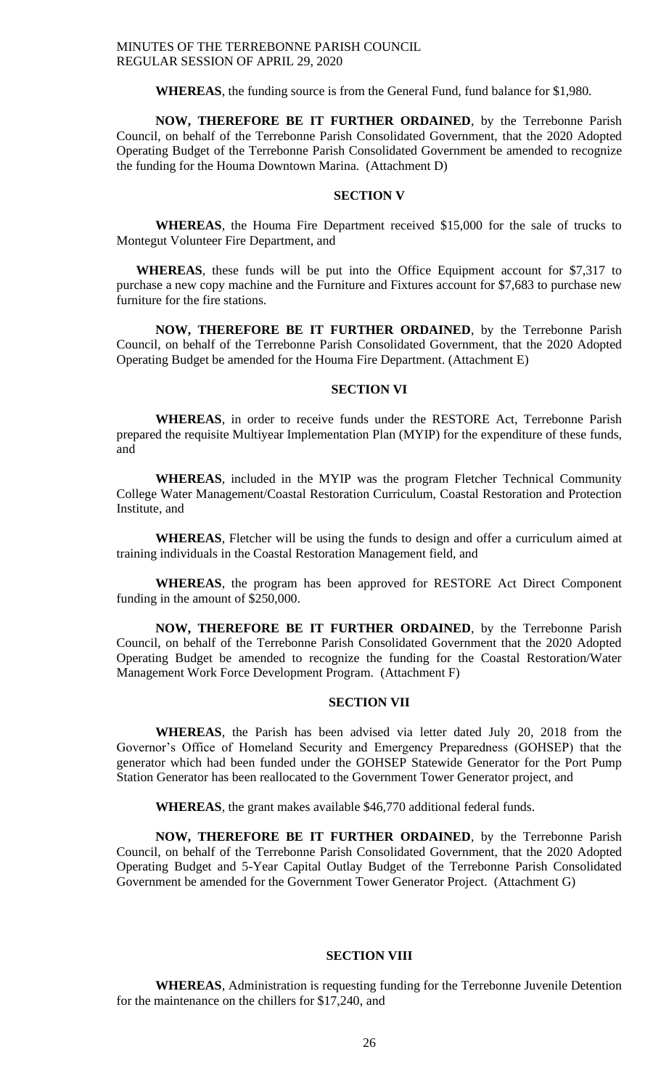**WHEREAS**, the funding source is from the General Fund, fund balance for \$1,980.

**NOW, THEREFORE BE IT FURTHER ORDAINED**, by the Terrebonne Parish Council, on behalf of the Terrebonne Parish Consolidated Government, that the 2020 Adopted Operating Budget of the Terrebonne Parish Consolidated Government be amended to recognize the funding for the Houma Downtown Marina. (Attachment D)

#### **SECTION V**

**WHEREAS**, the Houma Fire Department received \$15,000 for the sale of trucks to Montegut Volunteer Fire Department, and

**WHEREAS**, these funds will be put into the Office Equipment account for \$7,317 to purchase a new copy machine and the Furniture and Fixtures account for \$7,683 to purchase new furniture for the fire stations.

**NOW, THEREFORE BE IT FURTHER ORDAINED**, by the Terrebonne Parish Council, on behalf of the Terrebonne Parish Consolidated Government, that the 2020 Adopted Operating Budget be amended for the Houma Fire Department. (Attachment E)

## **SECTION VI**

**WHEREAS**, in order to receive funds under the RESTORE Act, Terrebonne Parish prepared the requisite Multiyear Implementation Plan (MYIP) for the expenditure of these funds, and

**WHEREAS**, included in the MYIP was the program Fletcher Technical Community College Water Management/Coastal Restoration Curriculum, Coastal Restoration and Protection Institute, and

**WHEREAS**, Fletcher will be using the funds to design and offer a curriculum aimed at training individuals in the Coastal Restoration Management field, and

**WHEREAS**, the program has been approved for RESTORE Act Direct Component funding in the amount of \$250,000.

**NOW, THEREFORE BE IT FURTHER ORDAINED**, by the Terrebonne Parish Council, on behalf of the Terrebonne Parish Consolidated Government that the 2020 Adopted Operating Budget be amended to recognize the funding for the Coastal Restoration/Water Management Work Force Development Program. (Attachment F)

## **SECTION VII**

**WHEREAS**, the Parish has been advised via letter dated July 20, 2018 from the Governor's Office of Homeland Security and Emergency Preparedness (GOHSEP) that the generator which had been funded under the GOHSEP Statewide Generator for the Port Pump Station Generator has been reallocated to the Government Tower Generator project, and

**WHEREAS**, the grant makes available \$46,770 additional federal funds.

**NOW, THEREFORE BE IT FURTHER ORDAINED**, by the Terrebonne Parish Council, on behalf of the Terrebonne Parish Consolidated Government, that the 2020 Adopted Operating Budget and 5-Year Capital Outlay Budget of the Terrebonne Parish Consolidated Government be amended for the Government Tower Generator Project. (Attachment G)

#### **SECTION VIII**

**WHEREAS**, Administration is requesting funding for the Terrebonne Juvenile Detention for the maintenance on the chillers for \$17,240, and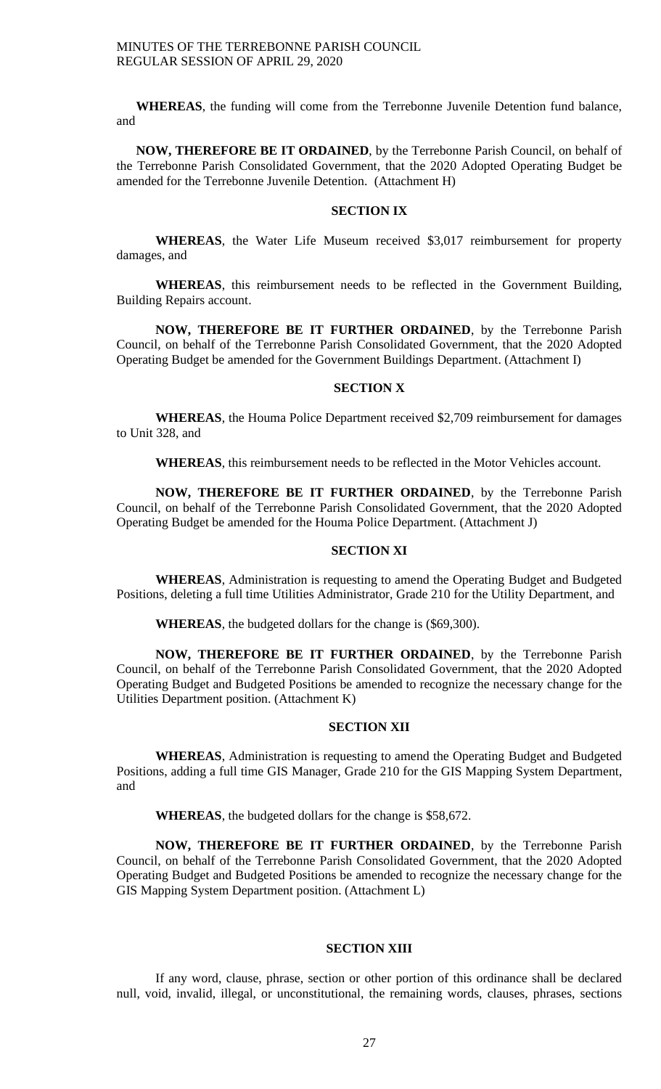**WHEREAS**, the funding will come from the Terrebonne Juvenile Detention fund balance, and

**NOW, THEREFORE BE IT ORDAINED**, by the Terrebonne Parish Council, on behalf of the Terrebonne Parish Consolidated Government, that the 2020 Adopted Operating Budget be amended for the Terrebonne Juvenile Detention. (Attachment H)

#### **SECTION IX**

**WHEREAS**, the Water Life Museum received \$3,017 reimbursement for property damages, and

**WHEREAS**, this reimbursement needs to be reflected in the Government Building, Building Repairs account.

**NOW, THEREFORE BE IT FURTHER ORDAINED**, by the Terrebonne Parish Council, on behalf of the Terrebonne Parish Consolidated Government, that the 2020 Adopted Operating Budget be amended for the Government Buildings Department. (Attachment I)

## **SECTION X**

**WHEREAS**, the Houma Police Department received \$2,709 reimbursement for damages to Unit 328, and

**WHEREAS**, this reimbursement needs to be reflected in the Motor Vehicles account.

**NOW, THEREFORE BE IT FURTHER ORDAINED**, by the Terrebonne Parish Council, on behalf of the Terrebonne Parish Consolidated Government, that the 2020 Adopted Operating Budget be amended for the Houma Police Department. (Attachment J)

## **SECTION XI**

**WHEREAS**, Administration is requesting to amend the Operating Budget and Budgeted Positions, deleting a full time Utilities Administrator, Grade 210 for the Utility Department, and

**WHEREAS**, the budgeted dollars for the change is (\$69,300).

**NOW, THEREFORE BE IT FURTHER ORDAINED**, by the Terrebonne Parish Council, on behalf of the Terrebonne Parish Consolidated Government, that the 2020 Adopted Operating Budget and Budgeted Positions be amended to recognize the necessary change for the Utilities Department position. (Attachment K)

#### **SECTION XII**

**WHEREAS**, Administration is requesting to amend the Operating Budget and Budgeted Positions, adding a full time GIS Manager, Grade 210 for the GIS Mapping System Department, and

**WHEREAS**, the budgeted dollars for the change is \$58,672.

**NOW, THEREFORE BE IT FURTHER ORDAINED**, by the Terrebonne Parish Council, on behalf of the Terrebonne Parish Consolidated Government, that the 2020 Adopted Operating Budget and Budgeted Positions be amended to recognize the necessary change for the GIS Mapping System Department position. (Attachment L)

#### **SECTION XIII**

If any word, clause, phrase, section or other portion of this ordinance shall be declared null, void, invalid, illegal, or unconstitutional, the remaining words, clauses, phrases, sections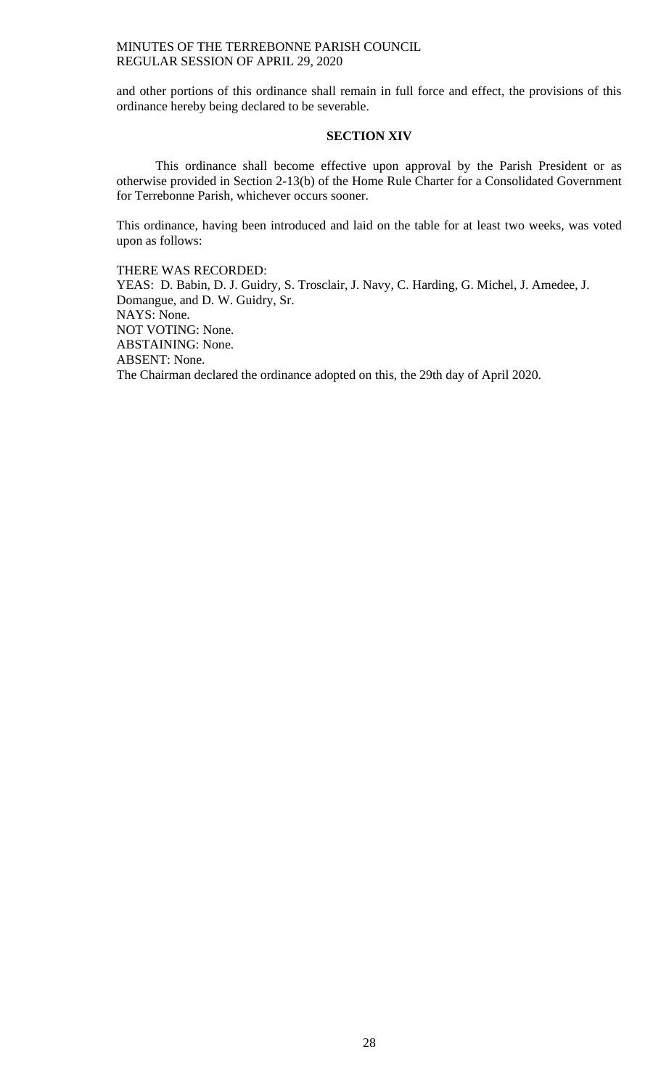and other portions of this ordinance shall remain in full force and effect, the provisions of this ordinance hereby being declared to be severable.

## **SECTION XIV**

This ordinance shall become effective upon approval by the Parish President or as otherwise provided in Section 2-13(b) of the Home Rule Charter for a Consolidated Government for Terrebonne Parish, whichever occurs sooner.

This ordinance, having been introduced and laid on the table for at least two weeks, was voted upon as follows:

THERE WAS RECORDED: YEAS: D. Babin, D. J. Guidry, S. Trosclair, J. Navy, C. Harding, G. Michel, J. Amedee, J. Domangue, and D. W. Guidry, Sr. NAYS: None. NOT VOTING: None. ABSTAINING: None. ABSENT: None. The Chairman declared the ordinance adopted on this, the 29th day of April 2020.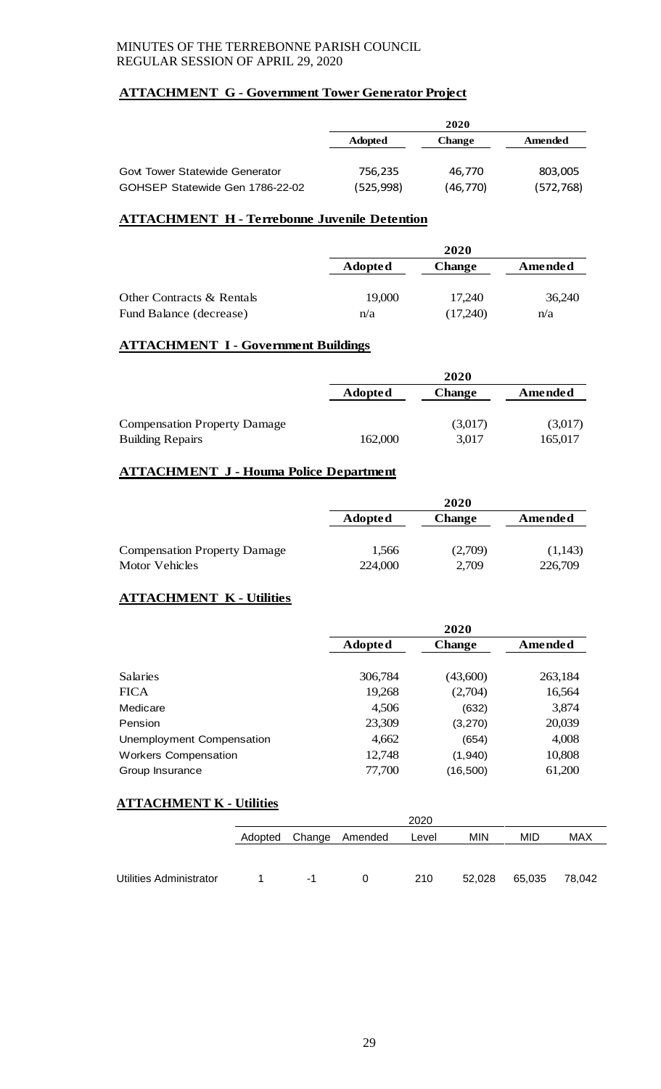## **ATTACHMENT G - Government Tower Generator Project**

|                                       |                | 2020          |            |
|---------------------------------------|----------------|---------------|------------|
|                                       | <b>Adopted</b> | <b>Change</b> | Amended    |
|                                       |                |               |            |
| <b>Govt Tower Statewide Generator</b> | 756.235        | 46.770        | 803,005    |
| GOHSEP Statewide Gen 1786-22-02       | (525, 998)     | (46,770)      | (572, 768) |

## **ATTACHMENT H - Terrebonne Juvenile Detention**

|                           |                | 2020          |         |
|---------------------------|----------------|---------------|---------|
|                           | <b>Adopted</b> | <b>Change</b> | Amended |
|                           |                |               |         |
| Other Contracts & Rentals | 19,000         | 17.240        | 36,240  |
| Fund Balance (decrease)   | n/a            | (17,240)      | n/a     |

## **ATTACHMENT I - Government Buildings**

|                                     |                | 2020          |         |
|-------------------------------------|----------------|---------------|---------|
|                                     | <b>Adopted</b> | <b>Change</b> | Amended |
|                                     |                |               |         |
| <b>Compensation Property Damage</b> |                | (3,017)       | (3,017) |
| <b>Building Repairs</b>             | 162,000        | 3,017         | 165,017 |

## **ATTACHMENT J - Houma Police Department**

|                                     |                | 2020          |         |
|-------------------------------------|----------------|---------------|---------|
|                                     | <b>Adopted</b> | <b>Change</b> | Amended |
| <b>Compensation Property Damage</b> | 1.566          | (2,709)       | (1,143) |
| Motor Vehicles                      | 224,000        | 2,709         | 226,709 |

# **ATTACHMENT K - Utilities**

|                             |                | 2020          |         |
|-----------------------------|----------------|---------------|---------|
|                             | <b>Adopted</b> | <b>Change</b> | Amended |
|                             |                |               |         |
| <b>Salaries</b>             | 306,784        | (43,600)      | 263,184 |
| <b>FICA</b>                 | 19,268         | (2,704)       | 16,564  |
| Medicare                    | 4,506          | (632)         | 3,874   |
| Pension                     | 23,309         | (3, 270)      | 20,039  |
| Unemployment Compensation   | 4,662          | (654)         | 4,008   |
| <b>Workers Compensation</b> | 12,748         | (1,940)       | 10,808  |
| Group Insurance             | 77,700         | (16, 500)     | 61,200  |

## **ATTACHMENT K - Utilities**

|                         | 2020                                                       |    |  |     |        |        |        |
|-------------------------|------------------------------------------------------------|----|--|-----|--------|--------|--------|
|                         | <b>MIN</b><br>MID<br>Change<br>Amended<br>Adopted<br>Level |    |  |     |        |        |        |
|                         |                                                            |    |  |     |        |        |        |
|                         |                                                            |    |  |     |        |        |        |
| Utilities Administrator |                                                            | -1 |  | 210 | 52.028 | 65,035 | 78,042 |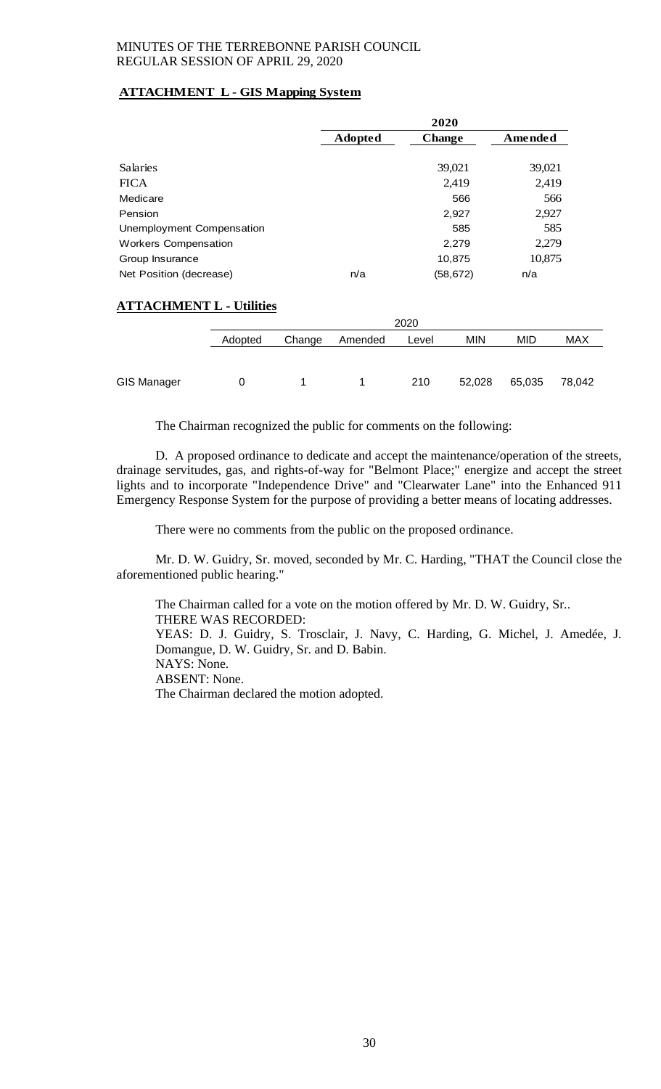## **ATTACHMENT L - GIS Mapping System**

|                                 |         |        |                | 2020          |            |         |        |
|---------------------------------|---------|--------|----------------|---------------|------------|---------|--------|
|                                 |         |        | <b>Adopted</b> | <b>Change</b> |            | Amended |        |
| <b>Salaries</b>                 |         |        |                |               | 39,021     | 39,021  |        |
| <b>FICA</b>                     |         |        | 2,419<br>2,419 |               |            |         |        |
| Medicare                        |         |        |                |               | 566        |         | 566    |
| Pension                         |         |        |                |               | 2,927      | 2,927   |        |
| Unemployment Compensation       |         |        |                |               | 585        | 585     |        |
| <b>Workers Compensation</b>     |         |        |                |               | 2,279      | 2,279   |        |
| Group Insurance                 |         |        |                | 10,875        |            | 10,875  |        |
| Net Position (decrease)         |         |        | n/a            | (58, 672)     |            | n/a     |        |
| <b>ATTACHMENT L - Utilities</b> |         |        |                |               |            |         |        |
|                                 |         |        |                | 2020          |            |         |        |
|                                 | Adopted | Change | Amended        | Level         | <b>MIN</b> | MID     | MAX    |
| <b>GIS Manager</b>              | 0       | 1      | 1              | 210           | 52,028     | 65,035  | 78,042 |

The Chairman recognized the public for comments on the following:

D. A proposed ordinance to dedicate and accept the maintenance/operation of the streets, drainage servitudes, gas, and rights-of-way for "Belmont Place;" energize and accept the street lights and to incorporate "Independence Drive" and "Clearwater Lane" into the Enhanced 911 Emergency Response System for the purpose of providing a better means of locating addresses.

There were no comments from the public on the proposed ordinance.

Mr. D. W. Guidry, Sr. moved, seconded by Mr. C. Harding, "THAT the Council close the aforementioned public hearing."

The Chairman called for a vote on the motion offered by Mr. D. W. Guidry, Sr.. THERE WAS RECORDED: YEAS: D. J. Guidry, S. Trosclair, J. Navy, C. Harding, G. Michel, J. Amedée, J. Domangue, D. W. Guidry, Sr. and D. Babin. NAYS: None. ABSENT: None. The Chairman declared the motion adopted.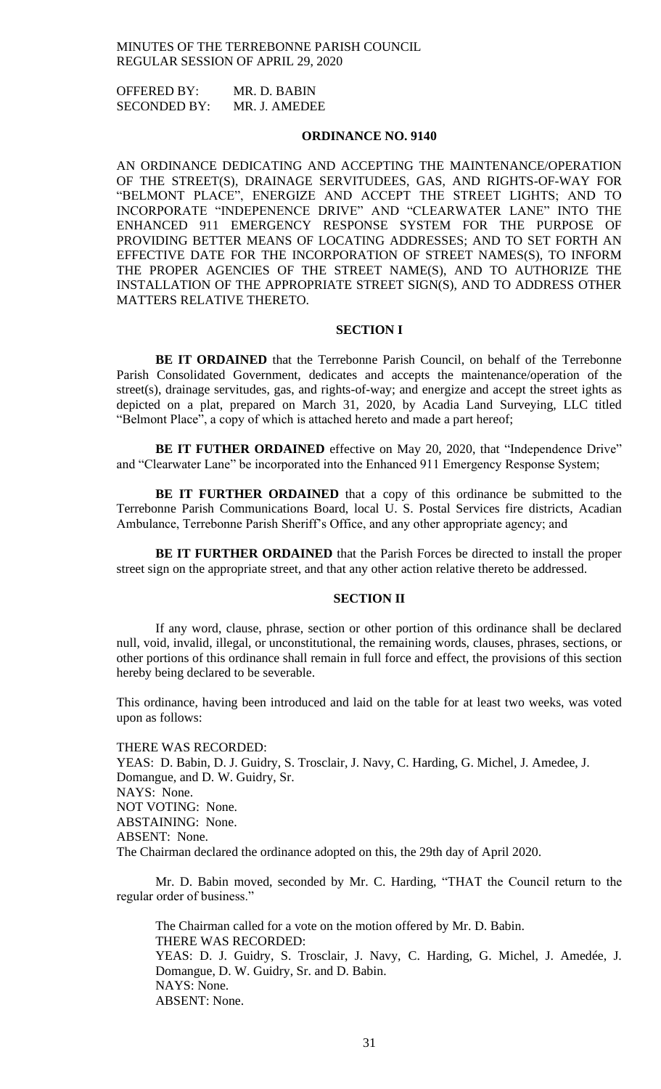OFFERED BY: MR. D. BABIN SECONDED BY: MR. J. AMEDEE

### **ORDINANCE NO. 9140**

AN ORDINANCE DEDICATING AND ACCEPTING THE MAINTENANCE/OPERATION OF THE STREET(S), DRAINAGE SERVITUDEES, GAS, AND RIGHTS-OF-WAY FOR "BELMONT PLACE", ENERGIZE AND ACCEPT THE STREET LIGHTS; AND TO INCORPORATE "INDEPENENCE DRIVE" AND "CLEARWATER LANE" INTO THE ENHANCED 911 EMERGENCY RESPONSE SYSTEM FOR THE PURPOSE OF PROVIDING BETTER MEANS OF LOCATING ADDRESSES; AND TO SET FORTH AN EFFECTIVE DATE FOR THE INCORPORATION OF STREET NAMES(S), TO INFORM THE PROPER AGENCIES OF THE STREET NAME(S), AND TO AUTHORIZE THE INSTALLATION OF THE APPROPRIATE STREET SIGN(S), AND TO ADDRESS OTHER MATTERS RELATIVE THERETO.

#### **SECTION I**

**BE IT ORDAINED** that the Terrebonne Parish Council, on behalf of the Terrebonne Parish Consolidated Government, dedicates and accepts the maintenance/operation of the street(s), drainage servitudes, gas, and rights-of-way; and energize and accept the street ights as depicted on a plat, prepared on March 31, 2020, by Acadia Land Surveying, LLC titled "Belmont Place", a copy of which is attached hereto and made a part hereof;

**BE IT FUTHER ORDAINED** effective on May 20, 2020, that "Independence Drive" and "Clearwater Lane" be incorporated into the Enhanced 911 Emergency Response System;

**BE IT FURTHER ORDAINED** that a copy of this ordinance be submitted to the Terrebonne Parish Communications Board, local U. S. Postal Services fire districts, Acadian Ambulance, Terrebonne Parish Sheriff's Office, and any other appropriate agency; and

**BE IT FURTHER ORDAINED** that the Parish Forces be directed to install the proper street sign on the appropriate street, and that any other action relative thereto be addressed.

#### **SECTION II**

If any word, clause, phrase, section or other portion of this ordinance shall be declared null, void, invalid, illegal, or unconstitutional, the remaining words, clauses, phrases, sections, or other portions of this ordinance shall remain in full force and effect, the provisions of this section hereby being declared to be severable.

This ordinance, having been introduced and laid on the table for at least two weeks, was voted upon as follows:

THERE WAS RECORDED: YEAS: D. Babin, D. J. Guidry, S. Trosclair, J. Navy, C. Harding, G. Michel, J. Amedee, J. Domangue, and D. W. Guidry, Sr. NAYS: None. NOT VOTING: None. ABSTAINING: None. ABSENT: None. The Chairman declared the ordinance adopted on this, the 29th day of April 2020.

Mr. D. Babin moved, seconded by Mr. C. Harding, "THAT the Council return to the regular order of business."

The Chairman called for a vote on the motion offered by Mr. D. Babin. THERE WAS RECORDED: YEAS: D. J. Guidry, S. Trosclair, J. Navy, C. Harding, G. Michel, J. Amedée, J. Domangue, D. W. Guidry, Sr. and D. Babin. NAYS: None. ABSENT: None.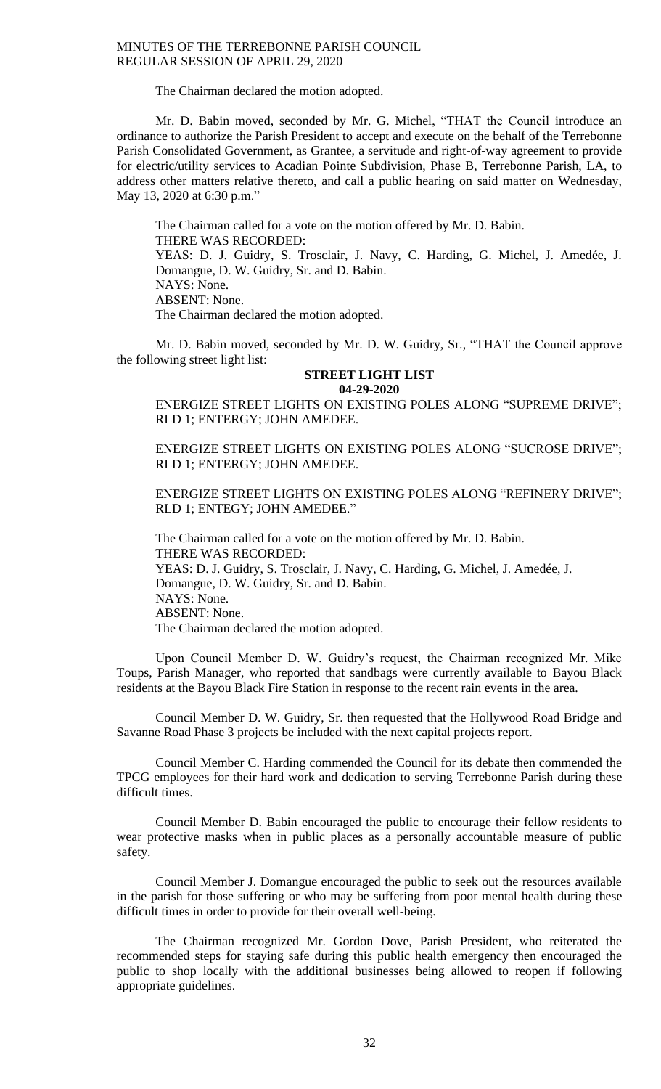### The Chairman declared the motion adopted.

Mr. D. Babin moved, seconded by Mr. G. Michel, "THAT the Council introduce an ordinance to authorize the Parish President to accept and execute on the behalf of the Terrebonne Parish Consolidated Government, as Grantee, a servitude and right-of-way agreement to provide for electric/utility services to Acadian Pointe Subdivision, Phase B, Terrebonne Parish, LA, to address other matters relative thereto, and call a public hearing on said matter on Wednesday, May 13, 2020 at 6:30 p.m."

The Chairman called for a vote on the motion offered by Mr. D. Babin. THERE WAS RECORDED: YEAS: D. J. Guidry, S. Trosclair, J. Navy, C. Harding, G. Michel, J. Amedée, J. Domangue, D. W. Guidry, Sr. and D. Babin. NAYS: None. ABSENT: None. The Chairman declared the motion adopted.

Mr. D. Babin moved, seconded by Mr. D. W. Guidry, Sr., "THAT the Council approve the following street light list:

#### **STREET LIGHT LIST 04-29-2020**

ENERGIZE STREET LIGHTS ON EXISTING POLES ALONG "SUPREME DRIVE"; RLD 1; ENTERGY; JOHN AMEDEE.

ENERGIZE STREET LIGHTS ON EXISTING POLES ALONG "SUCROSE DRIVE"; RLD 1; ENTERGY; JOHN AMEDEE.

ENERGIZE STREET LIGHTS ON EXISTING POLES ALONG "REFINERY DRIVE"; RLD 1; ENTEGY; JOHN AMEDEE."

The Chairman called for a vote on the motion offered by Mr. D. Babin. THERE WAS RECORDED: YEAS: D. J. Guidry, S. Trosclair, J. Navy, C. Harding, G. Michel, J. Amedée, J. Domangue, D. W. Guidry, Sr. and D. Babin. NAYS: None. ABSENT: None. The Chairman declared the motion adopted.

Upon Council Member D. W. Guidry's request, the Chairman recognized Mr. Mike Toups, Parish Manager, who reported that sandbags were currently available to Bayou Black residents at the Bayou Black Fire Station in response to the recent rain events in the area.

Council Member D. W. Guidry, Sr. then requested that the Hollywood Road Bridge and Savanne Road Phase 3 projects be included with the next capital projects report.

Council Member C. Harding commended the Council for its debate then commended the TPCG employees for their hard work and dedication to serving Terrebonne Parish during these difficult times.

Council Member D. Babin encouraged the public to encourage their fellow residents to wear protective masks when in public places as a personally accountable measure of public safety.

Council Member J. Domangue encouraged the public to seek out the resources available in the parish for those suffering or who may be suffering from poor mental health during these difficult times in order to provide for their overall well-being.

The Chairman recognized Mr. Gordon Dove, Parish President, who reiterated the recommended steps for staying safe during this public health emergency then encouraged the public to shop locally with the additional businesses being allowed to reopen if following appropriate guidelines.